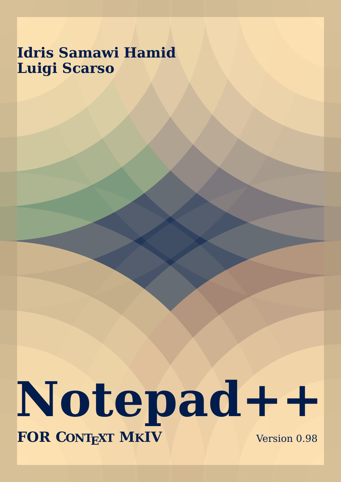# **Idris Samawi Hamid Luigi Scarso**

# **Notepad++ FOR CONTEXT MKIV** Version 0.98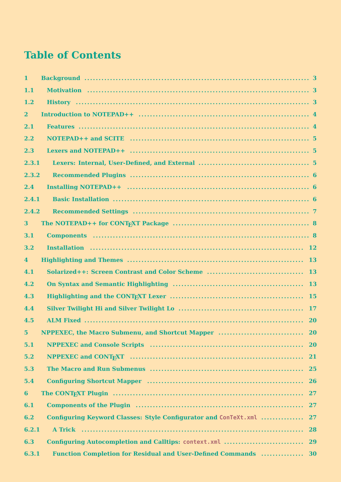## **Table of Contents**

| $\mathbf{1}$   |                                                                                                                                                                                                                                |           |
|----------------|--------------------------------------------------------------------------------------------------------------------------------------------------------------------------------------------------------------------------------|-----------|
| 1.1            |                                                                                                                                                                                                                                |           |
| 1.2            |                                                                                                                                                                                                                                |           |
| $\overline{2}$ |                                                                                                                                                                                                                                |           |
| 2.1            |                                                                                                                                                                                                                                |           |
| 2.2            |                                                                                                                                                                                                                                |           |
| 2.3            |                                                                                                                                                                                                                                |           |
| 2.3.1          |                                                                                                                                                                                                                                |           |
| 2.3.2          |                                                                                                                                                                                                                                |           |
| 2.4            |                                                                                                                                                                                                                                |           |
| 2.4.1          |                                                                                                                                                                                                                                |           |
| 2.4.2          |                                                                                                                                                                                                                                |           |
| 3 <sup>1</sup> |                                                                                                                                                                                                                                |           |
| 3.1            |                                                                                                                                                                                                                                |           |
| 3.2            |                                                                                                                                                                                                                                |           |
| $\overline{4}$ |                                                                                                                                                                                                                                |           |
| 4.1            |                                                                                                                                                                                                                                |           |
| 4.2            |                                                                                                                                                                                                                                |           |
| 4.3            |                                                                                                                                                                                                                                |           |
| 4.4            |                                                                                                                                                                                                                                |           |
| 4.5            |                                                                                                                                                                                                                                |           |
| $5\phantom{.}$ |                                                                                                                                                                                                                                |           |
| 5.1            |                                                                                                                                                                                                                                | <b>20</b> |
| 5.2            |                                                                                                                                                                                                                                | <b>21</b> |
| 5.3            |                                                                                                                                                                                                                                | <b>25</b> |
| 5.4            | Configuring Shortcut Mapper (and the continuum continuum continuum continuum continuum continuum continuum continuum continuum continuum continuum continuum continuum continuum continuum continuum continuum continuum conti |           |
| 6              |                                                                                                                                                                                                                                |           |
| 6.1            |                                                                                                                                                                                                                                | 27        |
| 6.2            | Configuring Keyword Classes: Style Configurator and ConTeXt.xml                                                                                                                                                                | 27        |
| 6.2.1          |                                                                                                                                                                                                                                | 28        |
| 6.3            |                                                                                                                                                                                                                                |           |
| 6.3.1          | <b>Function Completion for Residual and User-Defined Commands  30</b>                                                                                                                                                          |           |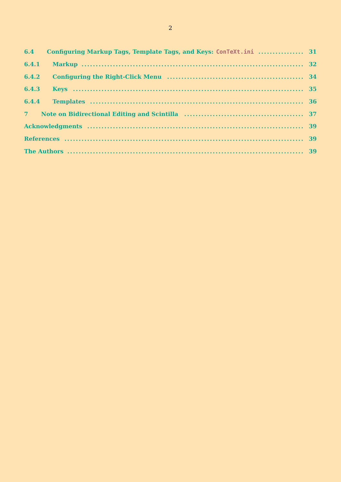|       | 6.4 Configuring Markup Tags, Template Tags, and Keys: ConTeXt.ini  31 |  |
|-------|-----------------------------------------------------------------------|--|
|       |                                                                       |  |
| 6.4.2 |                                                                       |  |
| 6.4.3 |                                                                       |  |
|       |                                                                       |  |
|       |                                                                       |  |
|       |                                                                       |  |
|       |                                                                       |  |
|       |                                                                       |  |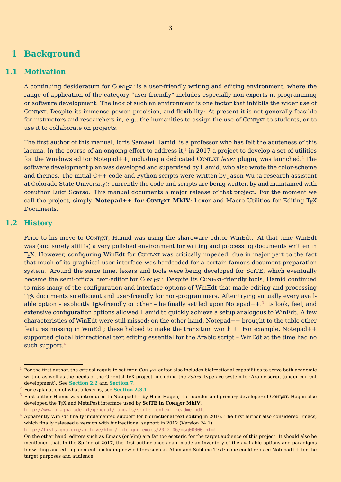## <span id="page-3-0"></span>**1 Background**

#### **1.1 Motivation**

A continuing desideratum for CONTEXT is a user-friendly writing and editing environment, where the range of application of the category "user-friendly" includes especially non-experts in programming or software development. The lack of such an environment is one factor that inhibits the wider use of CONTEXT. Despite its immense power, precision, and flexibility: At present it is not generally feasible for instructors and researchers in, e.g., the humanities to assign the use of CONTEXT to students, or to use it to collaborate on projects.

The first author of this manual, Idris Samawi Hamid, is a professor who has felt the acuteness of this lacuna. In the course of an ongoing effort to address it, $^1$  in 2017 a project to develop a set of utilities for the Windows editor Notepad++, including a dedicated CONT<sub>EXT</sub> lexer plugin, was launched.<sup>2</sup> The software development plan was developed and supervised by Hamid, who also wrote the color-scheme and themes. The initial C++ code and Python scripts were written by Jason Wu (a research assistant at Colorado State University); currently the code and scripts are being written by and maintained with coauthor Luigi Scarso. This manual documents a major release of that project: For the moment we call the project, simply, **Notepad++ for CONTEXT MKIV**: Lexer and Macro Utilities for Editing T<sub>E</sub>X Documents.

#### **1.2 History**

Prior to his move to CONTEXT, Hamid was using the shareware editor WinEdt. At that time WinEdt was (and surely still is) a very polished environment for writing and processing documents written in T<sub>EX</sub>. However, configuring WinEdt for CONT<sub>EXT</sub> was critically impeded, due in major part to the fact that much of its graphical user interface was hardcoded for a certain famous document preparation system. Around the same time, lexers and tools were being developed for SciTE, which eventually became the semi-official text-editor for CONTEXT. Despite its CONTEXT-friendly tools, Hamid continued to miss many of the configuration and interface options of WinEdt that made editing and processing T<sub>E</sub>X documents so efficient and user-friendly for non-programmers. After trying virtually every available option - explicitly T<sub>E</sub>X-friendly or other - he finally settled upon Notepad++. $^3$  Its look, feel, and extensive configuration options allowed Hamid to quickly achieve a setup analogous to WinEdt. A few characteristics of WinEdt were still missed; on the other hand, Notepad++ brought to the table other features missing in WinEdt; these helped to make the transition worth it. For example, Notepad++ supported global bidirectional text editing essential for the Arabic script – WinEdt at the time had no such support.<sup>4</sup>

http://www.pragma-ade.nl/general/manuals/scite-context-readme.pdf.

http://lists.gnu.org/archive/html/info-gnu-emacs/2012-06/msg00000.html.

 $1$  For the first author, the critical requisite set for a CONTEXT editor also includes bidirectional capabilities to serve both academic writing as well as the needs of the Oriental TeX project, including the *Zahrāʾ* typeface system for Arabic script (under current development). See **[Section 2.2](#page-5-0)** and **[Section 7](#page-37-0)**.

<sup>2</sup> For explanation of what a lexer is, see **[Section 2.3.1](#page-5-0)**.

First author Hamid was introduced to Notepad++ by Hans Hagen, the founder and primary developer of CONTEXT. Hagen also developed the T<sub>E</sub>X and MetaPost interface used by **SciTE in CONTEXT MkIV**:

 $^4\,$  Apparently WinEdt finally implemented support for bidirectional text editing in 2016. The first author also considered Emacs, which finally released a version with bidirectional support in 2012 (Version 24.1):

On the other hand, editors such as Emacs (or Vim) are far too esoteric for the target audience of this project. It should also be mentioned that, in the Spring of 2017, the first author once again made an inventory of the available options and paradigms for writing and editing content, including new editors such as Atom and Sublime Text; none could replace Notepad++ for the target purposes and audience.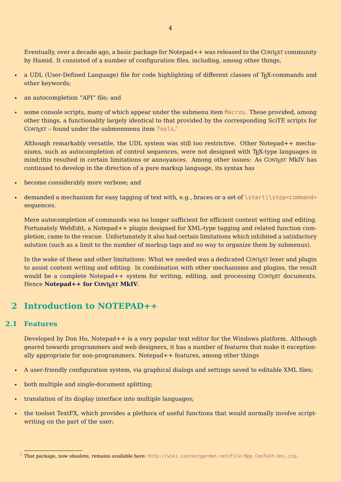<span id="page-4-0"></span>Eventually, over a decade ago, a basic package for Notepad++ was released to the CONTEXT community by Hamid. It consisted of a number of configuration files, including, among other things,

- a UDL (User-Defined Language) file for code highlighting of different classes of T<sub>E</sub>X-commands and other keywords;
- an autocompletion "API" file; and
- some console scripts, many of which appear under the submenu item Macros. These provided, among other things, a functionality largely identical to that provided by the corresponding SciTE scripts for  $\text{CONTEXT}$  – found under the submenmenu item <code>Tools.5</code>

Although remarkably versatile, the UDL system was still too restrictive. Other Notepad++ mechanisms, such as autocompletion of control sequences, were not designed with TEX-type languages in mind; this resulted in certain limitations or annoyances. Among other issues: As CONTEXT MkIV has continued to develop in the direction of a pure markup language, its syntax has

- become considerably more verbose; and
- demanded a mechanism for easy tagging of text with, e.g., braces or a set of \start|\stop<command> sequences.

Mere autocompletion of commands was no longer sufficient for efficient content writing and editing. Fortunately WebEdit, a Notepad++ plugin designed for XML-type tagging and related function completion, came to the rescue. Unfortunately it also had certain limitations which inhibited a satisfactory solution (such as a limit to the number of markup tags and no way to organize them by submenus).

In the wake of these and other limitations: What we needed was a dedicated CONTEXT lexer and plugin to assist content writing and editing. In combination with other mechanisms and plugins, the result would be a complete Notepad++ system for writing, editing, and processing CONTEXT documents. Hence **Notepad++ for CONTEXT MkIV**.

## **2 Introduction to NOTEPAD++**

#### **2.1 Features**

Developed by Don Ho, Notepad++ is a very popular text editor for the Windows platform. Although geared towards programmers and web designers, it has a number of features that make it exceptionally appropriate for non-programmers. Notepad++ features, among other things

- A user-friendly configuration system, via graphical dialogs and settings saved to editable XML files;
- both multiple and single-document splitting;
- translation of its display interface into multiple languages;
- the toolset TextFX, which provides a plethora of useful functions that would normally involve scriptwriting on the part of the user;

<sup>5</sup> That package, now obsolete, remains available here: http://wiki.contextgarden.net/File:Npp\_ConTeXt-Uni.zip.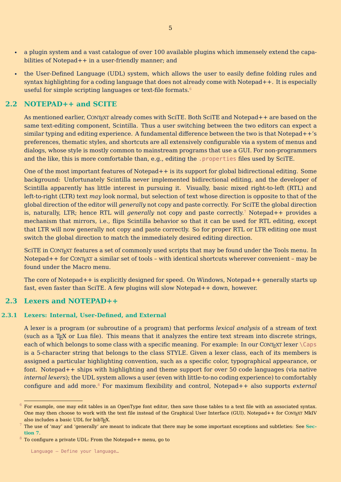- <span id="page-5-0"></span>• a plugin system and a vast catalogue of over 100 available plugins which immensely extend the capabilities of Notepad++ in a user-friendly manner; and
- the User-Defined Language (UDL) system, which allows the user to easily define folding rules and syntax highlighting for a coding language that does not already come with Notepad++. It is especially useful for simple scripting languages or text-file formats.<sup>6</sup>

#### **2.2 NOTEPAD++ and SCITE**

As mentioned earlier, CONTEXT already comes with SciTE. Both SciTE and Notepad++ are based on the same text-editing component, Scintilla. Thus a user switching between the two editors can expect a similar typing and editing experience. A fundamental difference between the two is that Notepad++'s preferences, thematic styles, and shortcuts are all extensively configurable via a system of menus and dialogs, whose style is mostly common to mainstream programs that use a GUI. For non-programmers and the like, this is more comfortable than, e.g., editing the .properties files used by SciTE.

One of the most important features of Notepad++ is its support for global bidirectional editing. Some background: Unfortunately Scintilla never implemented bidirectional editing, and the developer of Scintilla apparently has little interest in pursuing it. Visually, basic mixed right-to-left (RTL) and left-to-right (LTR) text *may* look normal, but selection of text whose direction is opposite to that of the global direction of the editor will *generally* not copy and paste correctly. For SciTE the global direction is, naturally, LTR; hence RTL will *generally* not copy and paste correctly.<sup>7</sup> Notepad++ provides a mechanism that mirrors, i.e., flips Scintilla behavior so that it can be used for RTL editing, except that LTR will now generally not copy and paste correctly. So for proper RTL or LTR editing one must switch the global direction to match the immediately desired editing direction.

SciTE in CONT<sub>EXT</sub> features a set of commonly used scripts that may be found under the Tools menu. In Notepad +  $+$  for CONT<sub>EXT</sub> a similar set of tools – with identical shortcuts wherever convenient – may be found under the Macro menu.

The core of Notepad++ is explicitly designed for speed. On Windows, Notepad++ generally starts up fast, even faster than SciTE. A few plugins will slow Notepad++ down, however.

#### **2.3 Lexers and NOTEPAD++**

#### **2.3.1 Lexers: Internal, User-Defined, and External**

A lexer is a program (or subroutine of a program) that performs *lexical analysis* of a stream of text (such as a TEX or Lua file). This means that it analyzes the entire text stream into discrete strings, each of which belongs to some class with a specific meaning. For example: In our CONTEXT lexer  $\cap$  Caps is a 5-character string that belongs to the class STYLE. Given a lexer class, each of its members is assigned a particular highlighting convention, such as a specific color, typographical appearance, or font. Notepad++ ships with highlighting and theme support for over 50 code languages (via native *internal lexers*); the UDL system allows a user (even with little-to-no coding experience) to comfortably configure and add more.<sup>8</sup> For maximum flexibility and control, Notepad++ also supports *external*

 $6$  For example, one may edit tables in an OpenType font editor, then save those tables to a text file with an associated syntax. One may then choose to work with the text file instead of the Graphical User Interface (GUI). Notepad++ for CONTEXT MkIV also includes a basic UDL for bibT<sub>F</sub>X.

<sup>7</sup> The use of 'may' and 'generally' are meant to indicate that there may be some important exceptions and subtleties: See **[Sec](#page-37-0)[tion 7](#page-37-0)**.

 $^8$  To configure a private UDL: From the Notepad++ menu, go to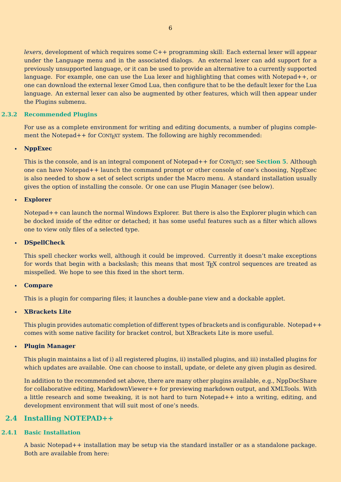<span id="page-6-0"></span>*lexers*, development of which requires some C++ programming skill: Each external lexer will appear under the Language menu and in the associated dialogs. An external lexer can add support for a previously unsupported language, or it can be used to provide an alternative to a currently supported language. For example, one can use the Lua lexer and highlighting that comes with Notepad++, or one can download the external lexer Gmod Lua, then configure that to be the default lexer for the Lua language. An external lexer can also be augmented by other features, which will then appear under the Plugins submenu.

#### **2.3.2 Recommended Plugins**

For use as a complete environment for writing and editing documents, a number of plugins complement the Notepad++ for CONTEXT system. The following are highly recommended:

#### • **NppExec**

This is the console, and is an integral component of Notepad++ for CONT<sub>EXT</sub>; see **[Section 5](#page-20-0)**. Although one can have Notepad++ launch the command prompt or other console of one's choosing, NppExec is also needed to show a set of select scripts under the Macro menu. A standard installation usually gives the option of installing the console. Or one can use Plugin Manager (see below).

#### • **Explorer**

Notepad++ can launch the normal Windows Explorer. But there is also the Explorer plugin which can be docked inside of the editor or detached; it has some useful features such as a filter which allows one to view only files of a selected type.

#### • **DSpellCheck**

This spell checker works well, although it could be improved. Currently it doesn't make exceptions for words that begin with a backslash; this means that most T<sub>F</sub>X control sequences are treated as misspelled. We hope to see this fixed in the short term.

#### • **Compare**

This is a plugin for comparing files; it launches a double-pane view and a dockable applet.

#### • **XBrackets Lite**

This plugin provides automatic completion of different types of brackets and is configurable. Notepad++ comes with some native facility for bracket control, but XBrackets Lite is more useful.

#### • **Plugin Manager**

This plugin maintains a list of i) all registered plugins, ii) installed plugins, and iii) installed plugins for which updates are available. One can choose to install, update, or delete any given plugin as desired.

In addition to the recommended set above, there are many other plugins available, e.g., NppDocShare for collaborative editing, MarkdownViewer++ for previewing markdown output, and XMLTools. With a little research and some tweaking, it is not hard to turn Notepad++ into a writing, editing, and development environment that will suit most of one's needs.

#### **2.4 Installing NOTEPAD++**

#### **2.4.1 Basic Installation**

A basic Notepad++ installation may be setup via the standard installer or as a standalone package. Both are available from here: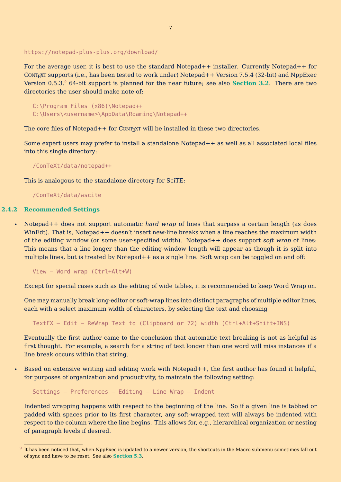#### <span id="page-7-0"></span>https://notepad-plus-plus.org/download/

For the average user, it is best to use the standard Notepad++ installer. Currently Notepad++ for CONTEXT supports (i.e., has been tested to work under) Notepad++ Version 7.5.4 (32-bit) and NppExec Version 0.5.3.<sup>9</sup> 64-bit support is planned for the near future; see also **[Section 3.2](#page-12-0)**. There are two directories the user should make note of:

C:\Program Files (x86)\Notepad++ C:\Users\<username>\AppData\Roaming\Notepad++

The core files of Notepad  $++$  for CONTEXT will be installed in these two directories.

Some expert users may prefer to install a standalone Notepad++ as well as all associated local files into this single directory:

/ConTeXt/data/notepad++

This is analogous to the standalone directory for SciTE:

/ConTeXt/data/wscite

#### **2.4.2 Recommended Settings**

• Notepad++ does not support automatic *hard wrap* of lines that surpass a certain length (as does WinEdt). That is, Notepad++ doesn't insert new-line breaks when a line reaches the maximum width of the editing window (or some user-specified width). Notepad++ does support *soft wrap* of lines: This means that a line longer than the editing-window length will appear as though it is split into multiple lines, but is treated by Notepad++ as a single line. Soft wrap can be toggled on and off:

View – Word wrap (Ctrl+Alt+W)

Except for special cases such as the editing of wide tables, it is recommended to keep Word Wrap on.

One may manually break long-editor or soft-wrap lines into distinct paragraphs of multiple editor lines, each with a select maximum width of characters, by selecting the text and choosing

TextFX – Edit – ReWrap Text to (Clipboard or 72) width (Ctrl+Alt+Shift+INS)

Eventually the first author came to the conclusion that automatic text breaking is not as helpful as first thought. For example, a search for a string of text longer than one word will miss instances if a line break occurs within that string.

• Based on extensive writing and editing work with Notepad++, the first author has found it helpful, for purposes of organization and productivity, to maintain the following setting:

Settings – Preferences – Editing – Line Wrap – Indent

Indented wrapping happens with respect to the beginning of the line. So if a given line is tabbed or padded with spaces prior to its first character, any soft-wrapped text will always be indented with respect to the column where the line begins. This allows for, e.g., hierarchical organization or nesting of paragraph levels if desired.

 $^9$  It has been noticed that, when NppExec is updated to a newer version, the shortcuts in the Macro submenu sometimes fall out of sync and have to be reset. See also **[Section 5.3](#page-25-0)**.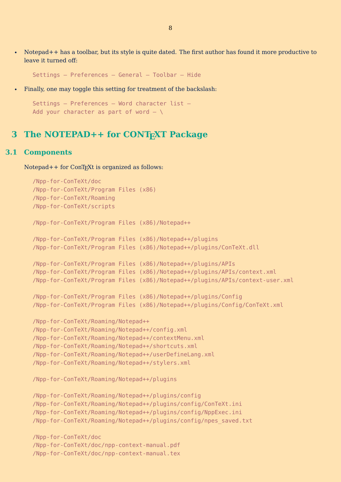<span id="page-8-0"></span>• Notepad++ has a toolbar, but its style is quite dated. The first author has found it more productive to leave it turned off:

Settings – Preferences – General – Toolbar – Hide

• Finally, one may toggle this setting for treatment of the backslash:

```
Settings – Preferences – Word character list –
Add your character as part of word - \setminus
```
## **3 The NOTEPAD++ for CONTEXT Package**

#### **3.1 Components**

Notepad + + for ConT<sub>E</sub>Xt is organized as follows:

```
/Npp-for-ConTeXt/doc
/Npp-for-ConTeXt/Program Files (x86)
/Npp-for-ConTeXt/Roaming
/Npp-for-ConTeXt/scripts
/Npp-for-ConTeXt/Program Files (x86)/Notepad++
/Npp-for-ConTeXt/Program Files (x86)/Notepad++/plugins
/Npp-for-ConTeXt/Program Files (x86)/Notepad++/plugins/ConTeXt.dll
/Npp-for-ConTeXt/Program Files (x86)/Notepad++/plugins/APIs
/Npp-for-ConTeXt/Program Files (x86)/Notepad++/plugins/APIs/context.xml
/Npp-for-ConTeXt/Program Files (x86)/Notepad++/plugins/APIs/context-user.xml
/Npp-for-ConTeXt/Program Files (x86)/Notepad++/plugins/Config
/Npp-for-ConTeXt/Program Files (x86)/Notepad++/plugins/Config/ConTeXt.xml
/Npp-for-ConTeXt/Roaming/Notepad++
/Npp-for-ConTeXt/Roaming/Notepad++/config.xml
/Npp-for-ConTeXt/Roaming/Notepad++/contextMenu.xml
/Npp-for-ConTeXt/Roaming/Notepad++/shortcuts.xml
/Npp-for-ConTeXt/Roaming/Notepad++/userDefineLang.xml
/Npp-for-ConTeXt/Roaming/Notepad++/stylers.xml
/Npp-for-ConTeXt/Roaming/Notepad++/plugins
/Npp-for-ConTeXt/Roaming/Notepad++/plugins/config
/Npp-for-ConTeXt/Roaming/Notepad++/plugins/config/ConTeXt.ini
/Npp-for-ConTeXt/Roaming/Notepad++/plugins/config/NppExec.ini
/Npp-for-ConTeXt/Roaming/Notepad++/plugins/config/npes_saved.txt
/Npp-for-ConTeXt/doc
/Npp-for-ConTeXt/doc/npp-context-manual.pdf
/Npp-for-ConTeXt/doc/npp-context-manual.tex
```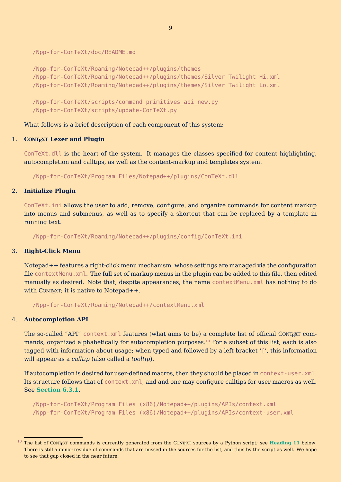/Npp-for-ConTeXt/doc/README.md

```
/Npp-for-ConTeXt/Roaming/Notepad++/plugins/themes
/Npp-for-ConTeXt/Roaming/Notepad++/plugins/themes/Silver Twilight Hi.xml
/Npp-for-ConTeXt/Roaming/Notepad++/plugins/themes/Silver Twilight Lo.xml
```
/Npp-for-ConTeXt/scripts/command\_primitives\_api\_new.py /Npp-for-ConTeXt/scripts/update-ConTeXt.py

What follows is a brief description of each component of this system:

#### 1. **CONTEXT Lexer and Plugin**

ConTeXt.dll is the heart of the system. It manages the classes specified for content highlighting, autocompletion and calltips, as well as the content-markup and templates system.

/Npp-for-ConTeXt/Program Files/Notepad++/plugins/ConTeXt.dll

#### 2. **Initialize Plugin**

ConTeXt.ini allows the user to add, remove, configure, and organize commands for content markup into menus and submenus, as well as to specify a shortcut that can be replaced by a template in running text.

/Npp-for-ConTeXt/Roaming/Notepad++/plugins/config/ConTeXt.ini

#### 3. **Right-Click Menu**

Notepad++ features a right-click menu mechanism, whose settings are managed via the configuration file contextMenu.xml. The full set of markup menus in the plugin can be added to this file, then edited manually as desired. Note that, despite appearances, the name contextMenu.xml has nothing to do with CONT<sub>EXT</sub>; it is native to Notepad +  $+$ .

/Npp-for-ConTeXt/Roaming/Notepad++/contextMenu.xml

#### 4. **Autocompletion API**

The so-called "API" context.xml features (what aims to be) a complete list of official CONTEXT commands, organized alphabetically for autocompletion purposes.<sup>10</sup> For a subset of this list, each is also tagged with information about usage; when typed and followed by a left bracket '[', this information will appear as a *calltip* (also called a *tooltip*).

If autocompletion is desired for user-defined macros, then they should be placed in context-user.xml. Its structure follows that of context.xml, and and one may configure calltips for user macros as well. See **[Section 6.3.1](#page-30-0)**.

```
/Npp-for-ConTeXt/Program Files (x86)/Notepad++/plugins/APIs/context.xml
/Npp-for-ConTeXt/Program Files (x86)/Notepad++/plugins/APIs/context-user.xml
```
 $10$  The list of CONT<sub>EXT</sub> commands is currently generated from the CONT<sub>EXT</sub> sources by a Python script; see **[Heading 11](#page-11-0)** below. There is still a minor residue of commands that are missed in the sources for the list, and thus by the script as well. We hope to see that gap closed in the near future.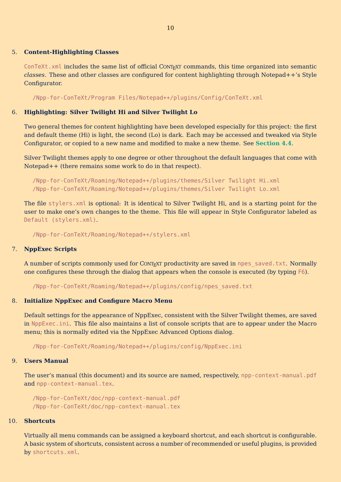#### 5. **Content-Highlighting Classes**

ConTeXt,  $x$ ml includes the same list of official CONTEXT commands, this time organized into semantic *classes*. These and other classes are configured for content highlighting through Notepad++'s Style Configurator.

/Npp-for-ConTeXt/Program Files/Notepad++/plugins/Config/ConTeXt.xml

#### 6. **Highlighting: Silver Twilight Hi and Silver Twilight Lo**

Two general themes for content highlighting have been developed especially for this project: the first and default theme (Hi) is light, the second (Lo) is dark. Each may be accessed and tweaked via Style Configurator, or copied to a new name and modified to make a new theme. See **[Section 4.4](#page-17-0)**.

Silver Twilight themes apply to one degree or other throughout the default languages that come with Notepad++ (there remains some work to do in that respect).

/Npp-for-ConTeXt/Roaming/Notepad++/plugins/themes/Silver Twilight Hi.xml /Npp-for-ConTeXt/Roaming/Notepad++/plugins/themes/Silver Twilight Lo.xml

The file stylers.xml is optional: It is identical to Silver Twilight Hi, and is a starting point for the user to make one's own changes to the theme. This file will appear in Style Configurator labeled as Default (stylers.xml).

/Npp-for-ConTeXt/Roaming/Notepad++/stylers.xml

#### 7. **NppExec Scripts**

A number of scripts commonly used for CONTEXT productivity are saved in npes\_saved.txt. Normally one configures these through the dialog that appears when the console is executed (by typing F6).

/Npp-for-ConTeXt/Roaming/Notepad++/plugins/config/npes\_saved.txt

#### 8. **Initialize NppExec and Configure Macro Menu**

Default settings for the appearance of NppExec, consistent with the Silver Twilight themes, are saved in NppExec.ini. This file also maintains a list of console scripts that are to appear under the Macro menu; this is normally edited via the NppExec Advanced Options dialog.

/Npp-for-ConTeXt/Roaming/Notepad++/plugins/config/NppExec.ini

#### 9. **Users Manual**

The user's manual (this document) and its source are named, respectively, npp-context-manual.pdf and npp-context-manual.tex.

/Npp-for-ConTeXt/doc/npp-context-manual.pdf /Npp-for-ConTeXt/doc/npp-context-manual.tex

#### 10. **Shortcuts**

Virtually all menu commands can be assigned a keyboard shortcut, and each shortcut is configurable. A basic system of shortcuts, consistent across a number of recommended or useful plugins, is provided by shortcuts.xml.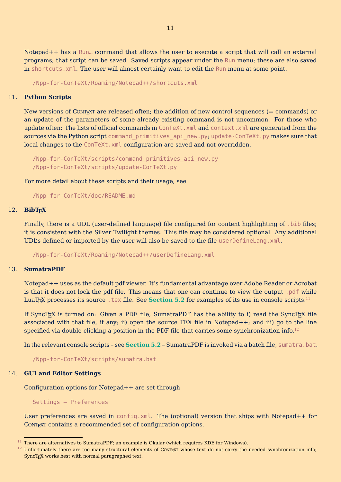<span id="page-11-0"></span>Notepad++ has a Run… command that allows the user to execute a script that will call an external programs; that script can be saved. Saved scripts appear under the Run menu; these are also saved in shortcuts.xml. The user will almost certainly want to edit the Run menu at some point.

/Npp-for-ConTeXt/Roaming/Notepad++/shortcuts.xml

#### 11. **Python Scripts**

New versions of CONTEXT are released often; the addition of new control sequences ( $=$  commands) or an update of the parameters of some already existing command is not uncommon. For those who update often: The lists of official commands in ConTeXt. xml and context. xml are generated from the sources via the Python script command primitives api new.py; update-ConTeXt.py makes sure that local changes to the ConTeXt.xml configuration are saved and not overridden.

/Npp-for-ConTeXt/scripts/command\_primitives\_api\_new.py /Npp-for-ConTeXt/scripts/update-ConTeXt.py

For more detail about these scripts and their usage, see

/Npp-for-ConTeXt/doc/README.md

#### 12. **BibTEX**

Finally, there is a UDL (user-defined language) file configured for content highlighting of .bib files; it is consistent with the Silver Twilight themes. This file may be considered optional. Any additional UDL's defined or imported by the user will also be saved to the file userDefineLang.xml.

/Npp-for-ConTeXt/Roaming/Notepad++/userDefineLang.xml

#### 13. **SumatraPDF**

Notepad++ uses as the default pdf viewer. It's fundamental advantage over Adobe Reader or Acrobat is that it does not lock the pdf file. This means that one can continue to view the output .pdf while LuaT<sub>EX</sub> processes its source . tex file. See **[Section 5.2](#page-21-0)** for examples of its use in console scripts.<sup>11</sup>

If SyncT<sub>E</sub>X is turned on: Given a PDF file, SumatraPDF has the ability to i) read the SyncT<sub>E</sub>X file associated with that file, if any; ii) open the source TEX file in Notepad++; and iii) go to the line specified via double-clicking a position in the PDF file that carries some synchronization info.<sup>12</sup>

In the relevant console scripts – see **[Section 5.2](#page-21-0)** – SumatraPDF is invoked via a batch file, sumatra.bat.

/Npp-for-ConTeXt/scripts/sumatra.bat

#### 14. **GUI and Editor Settings**

Configuration options for Notepad++ are set through

Settings – Preferences

User preferences are saved in config.xml. The (optional) version that ships with Notepad++ for CONT<sub>EXT</sub> contains a recommended set of configuration options.

 $11$  There are alternatives to SumatraPDF; an example is Okular (which requires KDE for Windows).

 $12$  Unfortunately there are too many structural elements of CONTEXT whose text do not carry the needed synchronization info; SyncT<sub>E</sub>X works best with normal paragraphed text.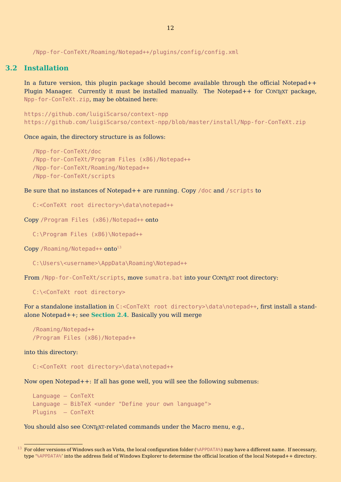<span id="page-12-0"></span>/Npp-for-ConTeXt/Roaming/Notepad++/plugins/config/config.xml

#### **3.2 Installation**

In a future version, this plugin package should become available through the official Notepad++ Plugin Manager. Currently it must be installed manually. The Notepad++ for CONTEXT package, Npp-for-ConTeXt.zip, may be obtained here:

https://github.com/luigiScarso/context-npp https://github.com/luigiScarso/context-npp/blob/master/install/Npp-for-ConTeXt.zip

Once again, the directory structure is as follows:

```
/Npp-for-ConTeXt/doc
/Npp-for-ConTeXt/Program Files (x86)/Notepad++
/Npp-for-ConTeXt/Roaming/Notepad++
/Npp-for-ConTeXt/scripts
```
Be sure that no instances of Notepad++ are running. Copy /doc and /scripts to

C:<ConTeXt root directory>\data\notepad++

Copy /Program Files (x86)/Notepad++ onto

C:\Program Files (x86)\Notepad++

 $Copy / Roaming/Notepad++ onto<sup>13</sup>$ 

C:\Users\<username>\AppData\Roaming\Notepad++

From /Npp-for-ConTeXt/scripts, move sumatra.bat into your CONTEXT root directory:

C:\<ConTeXt root directory>

For a standalone installation in C:<ConTeXt root directory>\data\notepad++, first install a standalone Notepad++; see **[Section 2.4](#page-6-0)**. Basically you will merge

```
/Roaming/Notepad++
/Program Files (x86)/Notepad++
```
into this directory:

C:<ConTeXt root directory>\data\notepad++

Now open Notepad++: If all has gone well, you will see the following submenus:

```
Language – ConTeXt
Language – BibTeX <under "Define your own language">
Plugins – ConTeXt
```
You should also see CONTEXT-related commands under the Macro menu, e.g.,

 $^{13}$  For older versions of Windows such as Vista, the local configuration folder (%APPDATA%) may have a different name. If necessary, type '%APPDATA%' into the address field of Windows Explorer to determine the official location of the local Notepad++ directory.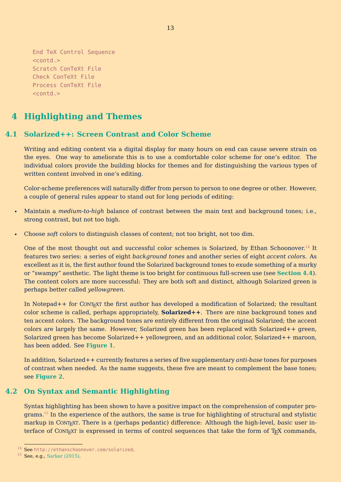```
End TeX Control Sequence
<contd.>
Scratch ConTeXt File
Check ConTeXt File
Process ConTeXt File
<contd.>
```
## **4 Highlighting and Themes**

## **4.1 Solarized++: Screen Contrast and Color Scheme**

Writing and editing content via a digital display for many hours on end can cause severe strain on the eyes. One way to ameliorate this is to use a comfortable color scheme for one's editor. The individual colors provide the building blocks for themes and for distinguishing the various types of written content involved in one's editing.

Color-scheme preferences will naturally differ from person to person to one degree or other. However, a couple of general rules appear to stand out for long periods of editing:

- Maintain a *medium-to-high* balance of contrast between the main text and background tones; i.e., strong contrast, but not too high.
- Choose *soft* colors to distinguish classes of content; not too bright, not too dim.

One of the most thought out and successful color schemes is Solarized, by Ethan Schoonover.<sup>14</sup> It features two series: a series of eight *background tones* and another series of eight *accent colors*. As excellent as it is, the first author found the Solarized background tones to exude something of a murky or "swampy" aesthetic. The light theme is too bright for continuous full-screen use (see **[Section 4.4](#page-17-0)**). The content colors are more successful: They are both soft and distinct, although Solarized green is perhaps better called *yellowgreen*.

In Notepad++ for CONT<sub>EXT</sub> the first author has developed a modification of Solarized; the resultant color scheme is called, perhaps appropriately, **Solarized++**. There are nine background tones and ten accent colors. The background tones are entirely different from the original Solarized; the accent colors are largely the same. However, Solarized green has been replaced with Solarized++ green, Solarized green has become Solarized++ yellowgreen, and an additional color, Solarized++ maroon, has been added. See **[Figure 1](#page-14-0)**.

In addition, Solarized++ currently features a series of five supplementary *anti-base* tones for purposes of contrast when needed. As the name suggests, these five are meant to complement the base tones; see **[Figure 2](#page-14-0)**.

## **4.2 On Syntax and Semantic Highlighting**

Syntax highlighting has been shown to have a positive impact on the comprehension of computer programs.<sup>15</sup> In the experience of the authors, the same is true for highlighting of structural and stylistic markup in CONTEXT. There is a (perhaps pedantic) difference: Although the high-level, *basic* user interface of CONT<sub>EXT</sub> is expressed in terms of control sequences that take the form of T<sub>EX</sub> commands,

<sup>14</sup> See http://ethanschoonover.com/solarized.

<sup>15</sup> See, e.g., [Sarkar \(2015\)](#page-39-0).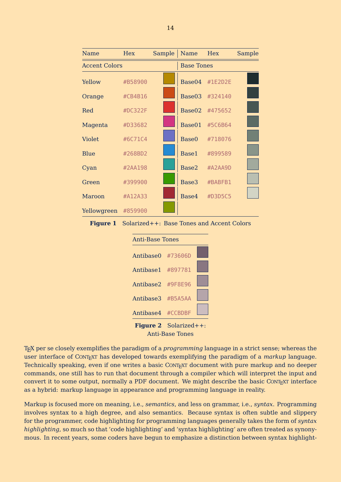<span id="page-14-0"></span>

| Name                 | Hex     | Sample            | Name Hex |                   | Sample |
|----------------------|---------|-------------------|----------|-------------------|--------|
| <b>Accent Colors</b> |         | <b>Base Tones</b> |          |                   |        |
| Yellow               | #B58900 |                   |          | Base04 $\#1E2D2E$ |        |
| Orange               | #CB4B16 |                   |          | Base03 #324140    |        |
| Red                  | #DC322F |                   |          | Base02 #475652    |        |
| Magenta              | #D33682 |                   | Base01   | #5C6B64           |        |
| Violet               | #6C71C4 |                   | Base0    | #718076           |        |
| Blue                 | #268BD2 |                   | Base1    | #899589           |        |
| Cyan                 | #2AA198 |                   | Base2    | #A2AA9D           |        |
| Green                | #399900 |                   | Base3    | #BABFB1           |        |
| Maroon               | #A12A33 |                   | Base4    | #D3D5C5           |        |
| Yellowgreen          | #859900 |                   |          |                   |        |







TEX per se closely exemplifies the paradigm of a *programming* language in a strict sense; whereas the user interface of CONTEXT has developed towards exemplifying the paradigm of a *markup* language. Technically speaking, even if one writes a basic CONT<sub>EXT</sub> document with pure markup and no deeper commands, one still has to run that document through a compiler which will interpret the input and convert it to some output, normally a PDF document. We might describe the basic CONTEXT interface as a hybrid: markup language in appearance and programming language in reality.

Markup is focused more on meaning, i.e., *semantics*, and less on grammar, i.e., *syntax*. Programming involves syntax to a high degree, and also semantics. Because syntax is often subtle and slippery for the programmer, code highlighting for programming languages generally takes the form of *syntax highlighting*, so much so that 'code highlighting' and 'syntax highlighting' are often treated as synonymous. In recent years, some coders have begun to emphasize a distinction between syntax highlight-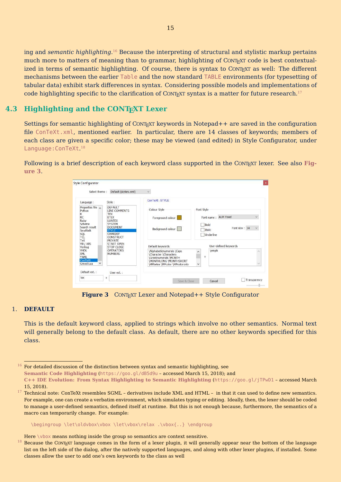<span id="page-15-0"></span>ing and *semantic highlighting*. <sup>16</sup> Because the interpreting of structural and stylistic markup pertains much more to matters of meaning than to grammar, highlighting of CONTEXT code is best contextualized in terms of semantic highlighting. Of course, there is syntax to CONTEXT as well: The different mechanisms between the earlier Table and the now standard TABLE environments (for typesetting of tabular data) exhibit stark differences in syntax. Considering possible models and implementations of code highlighting specific to the clarification of CONTEXT syntax is a matter for future research.<sup>17</sup>

## **4.3 Highlighting and the CONTEXT Lexer**

Settings for semantic highlighting of CONTEXT keywords in Notepad++ are saved in the configuration file ConTeXt.xml, mentioned earlier. In particular, there are 14 classes of keywords; members of each class are given a specific color; these may be viewed (and edited) in Style Configurator, under Language:ConTeXt. 18

Following is a brief description of each keyword class supported in the CONT<sub>EXT</sub> lexer. See also **Figure 3**.



**Figure 3** CONTEXT Lexer and Notepad + + Style Configurator

#### 1. **DEFAULT**

This is the default keyword class, applied to strings which involve no other semantics. Normal text will generally belong to the default class. As default, there are no other keywords specified for this class.

 $16$  For detailed discussion of the distinction between syntax and semantic highlighting, see **[Semantic Code Highlighting](https://goo.gl/dB5d9u)** (https://goo.gl/dB5d9u – accessed March 15, 2018); and

\begingroup \let\oldvbox\vbox \let\vbox\relax .\vbox{..} \endgroup

Here  $\forall$ box means nothing inside the group so semantics are context sensitive.

**[C++ IDE Evolution: From Syntax Highlighting to Semantic Highlighting](https://goo.gl/jTPwD1)** (https://goo.gl/jTPwD1 – accessed March 15, 2018).

 $17$  Technical note: ConTeXt resembles SGML – derivatives include XML and HTML – in that it can used to define new semantics. For example, one can create a verbatim environment, which simulates typing or editing. Ideally, then, the lexer should be coded to manage a user-defined semantics, defined itself at runtime. But this is not enough because, furthermore, the semantics of a macro can temporarily change. For example:

 $18$  Because the CONTEXT language comes in the form of a lexer plugin, it will generally appear near the bottom of the language list on the left side of the dialog, after the natively supported languages, and along with other lexer plugins, if installed. Some classes allow the user to add one's own keywords to the class as well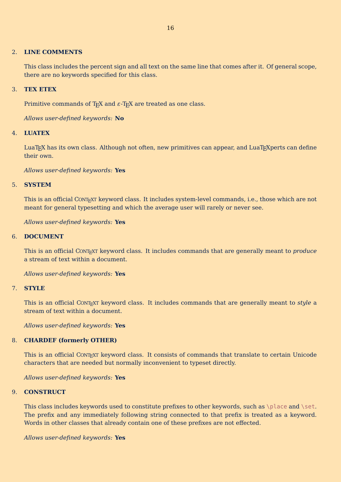#### 2. **LINE COMMENTS**

This class includes the percent sign and all text on the same line that comes after it. Of general scope, there are no keywords specified for this class.

#### 3. **TEX ETEX**

Primitive commands of T<sub>E</sub>X and  $\varepsilon$ -T<sub>E</sub>X are treated as one class.

*Allows user-defined keywords:* **No**

#### 4. **LUATEX**

LuaT<sub>EX</sub> has its own class. Although not often, new primitives can appear, and LuaT<sub>E</sub>Xperts can define their own.

*Allows user-defined keywords:* **Yes**

#### 5. **SYSTEM**

This is an official CONT<sub>EXT</sub> keyword class. It includes system-level commands, i.e., those which are not meant for general typesetting and which the average user will rarely or never see.

*Allows user-defined keywords:* **Yes**

#### 6. **DOCUMENT**

This is an official CONTEXT keyword class. It includes commands that are generally meant to *produce* a stream of text within a document.

*Allows user-defined keywords:* **Yes**

#### 7. **STYLE**

This is an official CONTEXT keyword class. It includes commands that are generally meant to *style* a stream of text within a document.

*Allows user-defined keywords:* **Yes**

#### 8. **CHARDEF (formerly OTHER)**

This is an official CONTEXT keyword class. It consists of commands that translate to certain Unicode characters that are needed but normally inconvenient to typeset directly.

*Allows user-defined keywords:* **Yes**

#### 9. **CONSTRUCT**

This class includes keywords used to constitute prefixes to other keywords, such as  $\alpha \setminus \text{set}$ . The prefix and any immediately following string connected to that prefix is treated as a keyword. Words in other classes that already contain one of these prefixes are not effected.

*Allows user-defined keywords:* **Yes**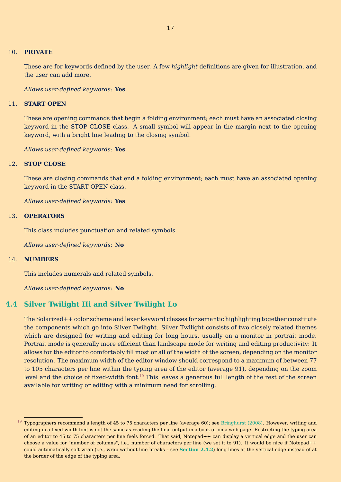#### <span id="page-17-0"></span>10. **PRIVATE**

These are for keywords defined by the user. A few *highlight* definitions are given for illustration, and the user can add more.

#### *Allows user-defined keywords:* **Yes**

#### 11. **START OPEN**

These are opening commands that begin a folding environment; each must have an associated closing keyword in the STOP CLOSE class. A small symbol will appear in the margin next to the opening keyword, with a bright line leading to the closing symbol.

*Allows user-defined keywords:* **Yes**

#### 12. **STOP CLOSE**

These are closing commands that end a folding environment; each must have an associated opening keyword in the START OPEN class.

*Allows user-defined keywords:* **Yes**

#### 13. **OPERATORS**

This class includes punctuation and related symbols.

*Allows user-defined keywords:* **No**

#### 14. **NUMBERS**

This includes numerals and related symbols.

*Allows user-defined keywords:* **No**

#### **4.4 Silver Twilight Hi and Silver Twilight Lo**

The Solarized++ color scheme and lexer keyword classes for semantic highlighting together constitute the components which go into Silver Twilight. Silver Twilight consists of two closely related themes which are designed for writing and editing for long hours, usually on a monitor in portrait mode. Portrait mode is generally more efficient than landscape mode for writing and editing productivity: It allows for the editor to comfortably fill most or all of the width of the screen, depending on the monitor resolution. The maximum width of the editor window should correspond to a maximum of between 77 to 105 characters per line within the typing area of the editor (average 91), depending on the zoom level and the choice of fixed-width font.<sup>19</sup> This leaves a generous full length of the rest of the screen available for writing or editing with a minimum need for scrolling.

 $19$  Typographers recommend a length of 45 to 75 characters per line (average 60); see [Bringhurst \(2008\).](#page-39-0) However, writing and editing in a fixed-width font is not the same as reading the final output in a book or on a web page. Restricting the typing area of an editor to 45 to 75 characters per line feels forced. That said, Notepad++ can display a vertical edge and the user can choose a value for "number of columns", i.e., number of characters per line (we set it to 91). It would be nice if Notepad++ could automatically soft wrap (i.e., wrap without line breaks – see **[Section 2.4.2](#page-7-0)**) long lines at the vertical edge instead of at the border of the edge of the typing area.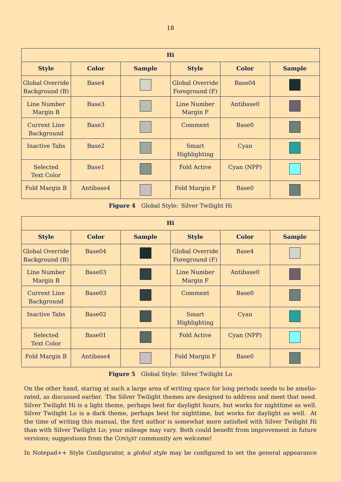<span id="page-18-0"></span>

| Hi                                       |                   |               |                                          |                   |               |  |
|------------------------------------------|-------------------|---------------|------------------------------------------|-------------------|---------------|--|
| <b>Style</b>                             | <b>Color</b>      | <b>Sample</b> | <b>Style</b>                             | <b>Color</b>      | <b>Sample</b> |  |
| <b>Global Override</b><br>Background (B) | Base4             |               | <b>Global Override</b><br>Foreground (F) | Base04            |               |  |
| Line Number<br>Margin B                  | Base <sub>3</sub> |               | Line Number<br>Margin F                  | Antibase0         |               |  |
| <b>Current Line</b><br>Background        | Base3             |               | Comment                                  | Base <sub>0</sub> |               |  |
| <b>Inactive Tabs</b>                     | Base2             |               | <b>Smart</b><br>Highlighting             | Cyan              |               |  |
| Selected<br><b>Text Color</b>            | Base1             |               | <b>Fold Active</b>                       | Cyan (NPP)        |               |  |
| Fold Margin B                            | Antibase4         |               | Fold Margin F                            | Base <sub>0</sub> |               |  |

**Figure 4** Global Style: Silver Twilight Hi

| Hi                                       |              |               |                                          |                   |               |  |
|------------------------------------------|--------------|---------------|------------------------------------------|-------------------|---------------|--|
| <b>Style</b>                             | <b>Color</b> | <b>Sample</b> | <b>Style</b>                             | <b>Color</b>      | <b>Sample</b> |  |
| <b>Global Override</b><br>Background (B) | Base04       |               | <b>Global Override</b><br>Foreground (F) | Base4             |               |  |
| Line Number<br>Margin B                  | Base03       |               | Line Number<br>Margin F                  | Antibase0         |               |  |
| <b>Current Line</b><br>Background        | Base03       |               | Comment                                  | Base <sub>0</sub> |               |  |
| <b>Inactive Tabs</b>                     | Base02       |               | <b>Smart</b><br>Highlighting             | Cyan              |               |  |
| Selected<br><b>Text Color</b>            | Base01       |               | <b>Fold Active</b>                       | Cyan (NPP)        |               |  |
| Fold Margin B                            | Antibase4    |               | Fold Margin F                            | Base <sub>0</sub> |               |  |

**Figure 5** Global Style: Silver Twilight Lo

On the other hand, staring at such a large area of writing space for long periods needs to be ameliorated, as discussed earlier. The Silver Twilight themes are designed to address and meet that need. Silver Twilight Hi is a light theme, perhaps best for daylight hours, but works for nighttime as well. Silver Twilight Lo is a dark theme, perhaps best for nighttime, but works for daylight as well. At the time of writing this manual, the first author is somewhat more satisfied with Silver Twilight Hi than with Silver Twilight Lo; your mileage may vary. Both could benefit from improvement in future versions; suggestions from the CONTEXT community are welcome!

In Notepad++ Style Configurator, a *global style* may be configured to set the general appearance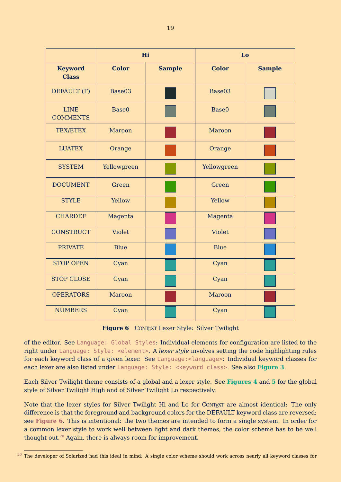|                                | Hi                |               |                   | Lo            |
|--------------------------------|-------------------|---------------|-------------------|---------------|
| <b>Keyword</b><br><b>Class</b> | <b>Color</b>      | <b>Sample</b> | <b>Color</b>      | <b>Sample</b> |
| DEFAULT (F)                    | Base03            |               | Base03            |               |
| <b>LINE</b><br><b>COMMENTS</b> | Base <sub>0</sub> |               | Base <sub>0</sub> |               |
| <b>TEX/ETEX</b>                | Maroon            |               | Maroon            |               |
| <b>LUATEX</b>                  | Orange            |               | Orange            |               |
| <b>SYSTEM</b>                  | Yellowgreen       |               | Yellowgreen       |               |
| <b>DOCUMENT</b>                | Green             |               | Green             |               |
| <b>STYLE</b>                   | Yellow            |               | Yellow            |               |
| <b>CHARDEF</b>                 | Magenta           |               | Magenta           |               |
| <b>CONSTRUCT</b>               | Violet            |               | Violet            |               |
| <b>PRIVATE</b>                 | Blue              |               | Blue              |               |
| <b>STOP OPEN</b>               | Cyan              |               | Cyan              |               |
| <b>STOP CLOSE</b>              | Cyan              |               | Cyan              |               |
| <b>OPERATORS</b>               | Maroon            |               | Maroon            |               |
| <b>NUMBERS</b>                 | Cyan              |               | Cyan              |               |

**Figure 6** CONTEXT Lexer Style: Silver Twilight

of the editor. See Language: Global Styles: Individual elements for configuration are listed to the right under Language: Style: <element>. A *lexer style* involves setting the code highlighting rules for each keyword class of a given lexer. See Language: < language>: Individual keyword classes for each lexer are also listed under Language: Style: <keyword class>. See also **[Figure 3](#page-15-0)**.

Each Silver Twilight theme consists of a global and a lexer style. See **[Figures 4](#page-18-0)** and **[5](#page-18-0)** for the global style of Silver Twilight High and of Silver Twilight Lo respectively.

Note that the lexer styles for Silver Twilight Hi and Lo for CONTEXT are almost identical: The only difference is that the foreground and background colors for the DEFAULT keyword class are reversed; see **Figure 6**. This is intentional: the two themes are intended to form a single system. In order for a common lexer style to work well between light and dark themes, the color scheme has to be well thought out.<sup>20</sup> Again, there is always room for improvement.

 $20$  The developer of Solarized had this ideal in mind: A single color scheme should work across nearly all keyword classes for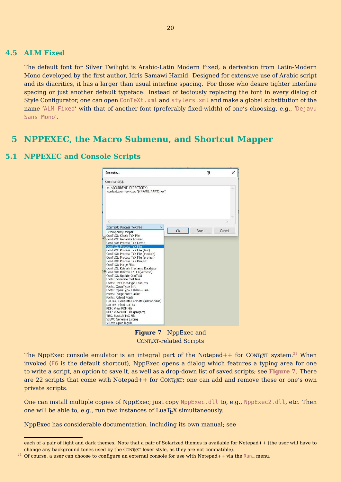#### <span id="page-20-0"></span>**4.5 ALM Fixed**

The default font for Silver Twilight is Arabic-Latin Modern Fixed, a derivation from Latin-Modern Mono developed by the first author, Idris Samawi Hamid. Designed for extensive use of Arabic script and its diacritics, it has a larger than usual interline spacing. For those who desire tighter interline spacing or just another default typeface: Instead of tediously replacing the font in every dialog of Style Configurator, one can open ConTeXt. xml and stylers. xml and make a global substitution of the name 'ALM Fixed' with that of another font (preferably fixed-width) of one's choosing, e.g., 'Dejavu Sans Mono'.

## **5 NPPEXEC, the Macro Submenu, and Shortcut Mapper**



### **5.1 NPPEXEC and Console Scripts**

**Figure 7** NppExec and CONTEXT-related Scripts

The NppExec console emulator is an integral part of the Notepad++ for CONTEXT system.<sup>21</sup> When invoked (F6 is the default shortcut), NppExec opens a dialog which features a typing area for one to write a script, an option to save it, as well as a drop-down list of saved scripts; see **Figure 7**. There are 22 scripts that come with Notepad++ for CONT<sub>EXT</sub>; one can add and remove these or one's own private scripts.

One can install multiple copies of NppExec; just copy NppExec.dll to, e.g., NppExec2.dll, etc. Then one will be able to, e.g., run two instances of  $LaTeX$  simultaneously.

NppExec has considerable documentation, including its own manual; see

each of a pair of light and dark themes. Note that a pair of Solarized themes is available for Notepad++ (the user will have to change any background tones used by the CONTEXT lexer style, as they are not compatible).

<sup>&</sup>lt;sup>21</sup> Of course, a user can choose to configure an external console for use with Notepad++ via the Run... menu.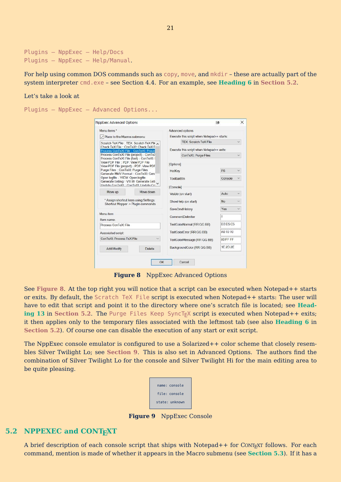```
Plugins – NppExec – Help/Docs
Plugins – NppExec – Help/Manual.
```
For help using common DOS commands such as copy, move, and mkdir – these are actually part of the system interpreter cmd.exe – see Section 4.4. For an example, see **[Heading 6](#page-23-0)** in **Section 5.2**.

#### Let's take a look at

Plugins – NppExec – Advanced Options...

| <b>NppExec Advanced Options</b>                                                                                                                                   |                                                                              |                                            | 祠                                         | ×            |  |
|-------------------------------------------------------------------------------------------------------------------------------------------------------------------|------------------------------------------------------------------------------|--------------------------------------------|-------------------------------------------|--------------|--|
| Menu items *                                                                                                                                                      |                                                                              | Advanced options                           |                                           |              |  |
| $\vee$ Place to the Macros submenu                                                                                                                                |                                                                              | Execute this script when Notepad++ starts: |                                           |              |  |
|                                                                                                                                                                   | Scratch TeX File :: TEX: Scratch TeX File                                    | <b>TFX: Scratch TeX File</b>               |                                           |              |  |
| Check TeX File: ConTeXt: Check TeX F<br>Process ConTeXt File :: ConTeXt: Proce                                                                                    |                                                                              |                                            | Execute this script when Notepad++ exits: |              |  |
| Process ConTeXt File (project) :: ConTe>                                                                                                                          |                                                                              | ConTeXt Purge Files                        |                                           |              |  |
| Process ConTeXt File (fast) :: ConTeXt:<br>View PDF File :: PDF: View PDF File<br>View PDF File (project) :: PDF: View PDF<br>Purge Files :: ConTeXt: Purge Files |                                                                              | [Options]                                  |                                           |              |  |
| Generate MkIV Format: ConTeXt: Gen                                                                                                                                |                                                                              | HotKey                                     | F <sub>6</sub>                            | $\checkmark$ |  |
| Open logfile :: VIEW: Open logfile<br>Generate Listing :: VIEW: Generate List                                                                                     |                                                                              | ToolbarBtn                                 | Console                                   |              |  |
| Lindate ConTeXt :: ConTeXt: Lindate Co                                                                                                                            |                                                                              | [Console]                                  |                                           |              |  |
| Move up                                                                                                                                                           | Move down                                                                    | Visible (on start)                         | Auto                                      | $\checkmark$ |  |
|                                                                                                                                                                   | * Assign shortcut keys using Settings:<br>Shortcut Mapper -> Plugin commands | ShowHelp (on start)                        | <b>No</b>                                 |              |  |
|                                                                                                                                                                   |                                                                              | SaveCmdHistory                             | Yes                                       |              |  |
| Menu item                                                                                                                                                         |                                                                              | CommentDelimiter                           | $\mu$                                     |              |  |
| Item name:<br>Process ConTeXt File                                                                                                                                |                                                                              | TextColorNormal (RR GG BB)                 | D3 D5 C5                                  |              |  |
| Associated script:<br>ConTeXt: Process TeX File                                                                                                                   |                                                                              | TextColorError (RR GG BB)                  | A0 10 10<br>80 FF FF                      |              |  |
|                                                                                                                                                                   |                                                                              | TextColorMessage (RR GG BB)                |                                           |              |  |
|                                                                                                                                                                   |                                                                              |                                            |                                           |              |  |

**Figure 8** NppExec Advanced Options

See **Figure 8**. At the top right you will notice that a script can be executed when Notepad++ starts or exits. By default, the Scratch TeX File script is executed when Notepad++ starts: The user will have to edit that script and point it to the directory where one's scratch file is located; see **[Head](#page-24-0)[ing 13](#page-24-0)** in Section 5.2. The Purge Files Keep SyncT<sub>F</sub>X script is executed when Notepad++ exits; it then applies only to the temporary files associated with the leftmost tab (see also **[Heading 6](#page-23-0)** in **Section 5.2**). Of course one can disable the execution of any start or exit script.

The NppExec console emulator is configured to use a Solarized++ color scheme that closely resembles Silver Twilight Lo; see **Section 9**. This is also set in Advanced Options. The authors find the combination of Silver Twilight Lo for the console and Silver Twilight Hi for the main editing area to be quite pleasing.

| name: console  |
|----------------|
| file: console  |
| state: unknown |

**Figure 9** NppExec Console

#### **5.2 NPPEXEC and CONTEXT**

A brief description of each console script that ships with Notepad++ for CONT<sub>EXT</sub> follows. For each command, mention is made of whether it appears in the Macro submenu (see **[Section 5.3](#page-25-0)**). If it has a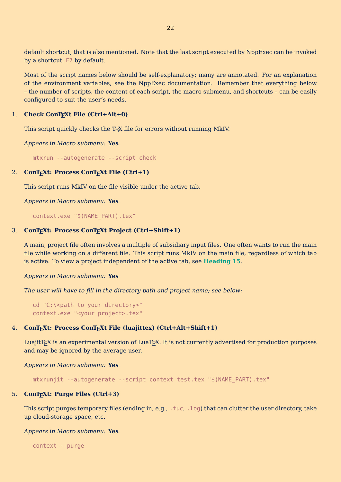<span id="page-22-0"></span>default shortcut, that is also mentioned. Note that the last script executed by NppExec can be invoked by a shortcut, F7 by default.

Most of the script names below should be self-explanatory; many are annotated. For an explanation of the environment variables, see the NppExec documentation. Remember that everything below – the number of scripts, the content of each script, the macro submenu, and shortcuts – can be easily configured to suit the user's needs.

#### 1. **Check ConTEXt File (Ctrl+Alt+0)**

This script quickly checks the T<sub>E</sub>X file for errors without running MkIV.

*Appears in Macro submenu:* **Yes**

mtxrun --autogenerate --script check

#### 2. **ConTEXt: Process ConTEXt File (Ctrl+1)**

This script runs MkIV on the file visible under the active tab.

*Appears in Macro submenu:* **Yes**

context.exe "\$(NAME\_PART).tex"

#### 3. **ConTEXt: Process ConTEXt Project (Ctrl+Shift+1)**

A main, project file often involves a multiple of subsidiary input files. One often wants to run the main file while working on a different file. This script runs MkIV on the main file, regardless of which tab is active. To view a project independent of the active tab, see **[Heading 15](#page-24-0)**.

*Appears in Macro submenu:* **Yes**

*The user will have to fill in the directory path and project name; see below:*

cd "C:\<path to your directory>" context.exe "<your project>.tex"

#### 4. **ConTEXt: Process ConTEXt File (luajittex) (Ctrl+Alt+Shift+1)**

LuajitTEX is an experimental version of LuaTEX. It is not currently advertised for production purposes and may be ignored by the average user.

*Appears in Macro submenu:* **Yes**

mtxrunjit --autogenerate --script context test.tex "\$(NAME\_PART).tex"

#### 5. **ConTEXt: Purge Files (Ctrl+3)**

This script purges temporary files (ending in, e.g., .tuc, .log) that can clutter the user directory, take up cloud-storage space, etc.

#### *Appears in Macro submenu:* **Yes**

context --purge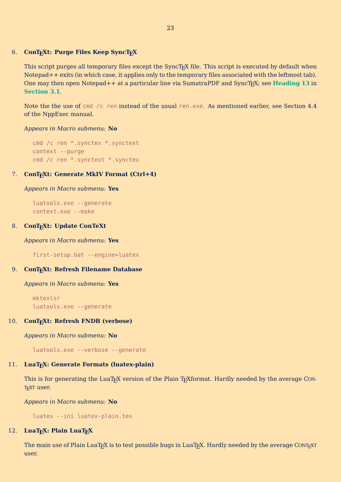#### <span id="page-23-0"></span>6. **ConTEXt: Purge Files Keep SyncTEX**

This script purges all temporary files except the SyncT<sub>E</sub>X file. This script is executed by default when Notepad++ exits (in which case, it applies only to the temporary files associated with the leftmost tab). One may then open Notepad++ at a particular line via SumatraPDF and SyncT<sub>E</sub>X; see **[Heading 13](#page-11-0)** in **[Section 3.1](#page-8-0)**.

Note the the use of cmd /c ren instead of the usual ren.exe. As mentioned earlier, see Section 4.4 of the NppExec manual.

#### *Appears in Macro submenu:* **No**

```
cmd /c ren *.synctex *.synctext
context --purge
cmd /c ren *.synctext *.synctex
```
#### 7. **ConTEXt: Generate MkIV Format (Ctrl+4)**

#### *Appears in Macro submenu:* **Yes**

luatools.exe --generate context.exe --make

#### 8. **ConTEXt: Update ConTeXt**

*Appears in Macro submenu:* **Yes**

first-setup.bat --engine=luatex

#### 9. **ConTEXt: Refresh Filename Database**

*Appears in Macro submenu:* **Yes**

mktexlsr luatools.exe --generate

#### 10. **ConTEXt: Refresh FNDB (verbose)**

*Appears in Macro submenu:* **No**

luatools.exe --verbose --generate

#### 11. **LuaTEX: Generate Formats (luatex-plain)**

This is for generating the LuaT<sub>E</sub>X version of the Plain T<sub>E</sub>Xformat. Hardly needed by the average CON-T<sub>E</sub>XT user.

*Appears in Macro submenu:* **No**

luatex --ini luatex-plain.tex

#### 12. **LuaTEX: Plain LuaTEX**

The main use of Plain LuaTEX is to test possible bugs in LuaTEX. Hardly needed by the average CONTEXT user.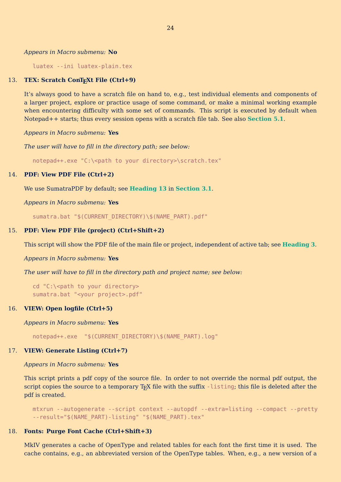#### <span id="page-24-0"></span>*Appears in Macro submenu:* **No**

luatex --ini luatex-plain.tex

#### 13. **TEX: Scratch ConTEXt File (Ctrl+9)**

It's always good to have a scratch file on hand to, e.g., test individual elements and components of a larger project, explore or practice usage of some command, or make a minimal working example when encountering difficulty with some set of commands. This script is executed by default when Notepad++ starts; thus every session opens with a scratch file tab. See also **[Section 5.1](#page-20-0)**.

*Appears in Macro submenu:* **Yes**

*The user will have to fill in the directory path; see below:*

notepad++.exe "C:\<path to your directory>\scratch.tex"

#### 14. **PDF: View PDF File (Ctrl+2)**

We use SumatraPDF by default; see **[Heading 13](#page-11-0)** in **[Section 3.1](#page-8-0)**.

*Appears in Macro submenu:* **Yes**

sumatra.bat "\$(CURRENT DIRECTORY)\\$(NAME PART).pdf"

#### 15. **PDF: View PDF File (project) (Ctrl+Shift+2)**

This script will show the PDF file of the main file or project, independent of active tab; see **[Heading 3](#page-22-0)**.

*Appears in Macro submenu:* **Yes**

*The user will have to fill in the directory path and project name; see below:*

```
cd "C:\<path to your directory>
sumatra.bat "<your project>.pdf"
```
#### 16. **VIEW: Open logfile (Ctrl+5)**

*Appears in Macro submenu:* **Yes**

notepad++.exe "\$(CURRENT DIRECTORY)\\$(NAME\_PART).log"

#### 17. **VIEW: Generate Listing (Ctrl+7)**

#### *Appears in Macro submenu:* **Yes**

This script prints a pdf copy of the source file. In order to not override the normal pdf output, the script copies the source to a temporary T<sub>EX</sub> file with the suffix -listing; this file is deleted after the pdf is created.

mtxrun --autogenerate --script context --autopdf --extra=listing --compact --pretty --result="\$(NAME\_PART)-listing" "\$(NAME\_PART).tex"

#### 18. **Fonts: Purge Font Cache (Ctrl+Shift+3)**

MkIV generates a cache of OpenType and related tables for each font the first time it is used. The cache contains, e.g., an abbreviated version of the OpenType tables. When, e.g., a new version of a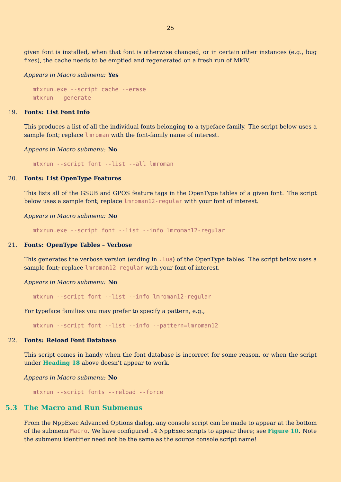<span id="page-25-0"></span>given font is installed, when that font is otherwise changed, or in certain other instances (e.g., bug fixes), the cache needs to be emptied and regenerated on a fresh run of MkIV.

*Appears in Macro submenu:* **Yes**

mtxrun.exe --script cache --erase mtxrun --generate

#### 19. **Fonts: List Font Info**

This produces a list of all the individual fonts belonging to a typeface family. The script below uses a sample font; replace lmroman with the font-family name of interest.

*Appears in Macro submenu:* **No**

mtxrun --script font --list --all lmroman

#### 20. **Fonts: List OpenType Features**

This lists all of the GSUB and GPOS feature tags in the OpenType tables of a given font. The script below uses a sample font; replace lmroman12-regular with your font of interest.

*Appears in Macro submenu:* **No**

mtxrun.exe --script font --list --info lmroman12-regular

#### 21. **Fonts: OpenType Tables – Verbose**

This generates the verbose version (ending in . Lua) of the OpenType tables. The script below uses a sample font; replace lmroman12-regular with your font of interest.

*Appears in Macro submenu:* **No**

mtxrun --script font --list --info lmroman12-regular

For typeface families you may prefer to specify a pattern, e.g.,

mtxrun --script font --list --info --pattern=lmroman12

#### 22. **Fonts: Reload Font Database**

This script comes in handy when the font database is incorrect for some reason, or when the script under **[Heading 18](#page-24-0)** above doesn't appear to work.

*Appears in Macro submenu:* **No**

mtxrun --script fonts --reload --force

#### **5.3 The Macro and Run Submenus**

From the NppExec Advanced Options dialog, any console script can be made to appear at the bottom of the submenu Macro. We have configured 14 NppExec scripts to appear there; see **[Figure 10](#page-26-0)**. Note the submenu identifier need not be the same as the source console script name!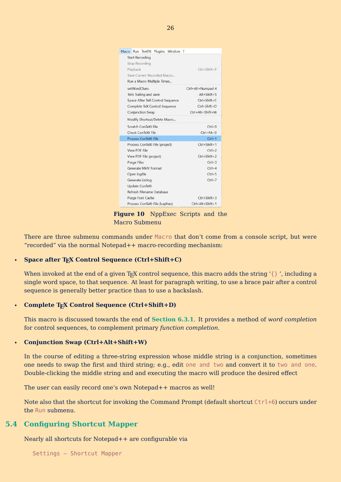<span id="page-26-0"></span>

| Macro Run TextFX Plugins Window ?               |                    |
|-------------------------------------------------|--------------------|
| <b>Start Recording</b><br><b>Stop Recording</b> |                    |
| Playback                                        | $Ctrl + Shift + P$ |
| Save Current Recorded Macro                     |                    |
| Run a Macro Multiple Times                      |                    |
| setWordChars                                    | Ctrl+Alt+Numpad 4  |
| Trim Trailing and save                          | $Alt + Shift + S$  |
| Space After TeX Control Sequence                | $Ctrl + Shift + C$ |
| Complete TeX Control Sequence                   | $Ctrl + Shift + D$ |
| Conjunction Swap                                | Ctrl+Alt+Shift+W   |
| Modify Shortcut/Delete Macro                    |                    |
| Scratch ConTeXt File                            | $C$ trl+9          |
| Check ConTeXt File                              | $Ctrl + Alt + 0$   |
| Process ConTeXt File                            | $Ctrl + 1$         |
| Process ConTeXt File (project)                  | $Ctrl + Shift + 1$ |
| View PDF File                                   | $Ctrl + 2$         |
| View PDF File (project)                         | $C$ trl+Shift+2    |
| <b>Purge Files</b>                              | $Ctrl + 3$         |
| Generate MkIV Format                            | $Ctrl + 4$         |
| Open logfile                                    | $Ctrl + 5$         |
| Generate Listing                                | $Ctrl + 7$         |
| <b>Update ConTeXt</b>                           |                    |
| Refresh Filename Database                       |                    |
| Purge Font Cache                                | $Ctrl + Shift + 3$ |
| Process ConTeXt File (luajittex)                | Ctrl+Alt+Shift+1   |

**Figure 10** NppExec Scripts and the Macro Submenu

There are three submenu commands under Macro that don't come from a console script, but were "recorded" via the normal Notepad++ macro-recording mechanism:

#### • Space after T<sub>F</sub>X Control Sequence (Ctrl+Shift+C)

When invoked at the end of a given T<sub>E</sub>X control sequence, this macro adds the string  $\{\}$ , including a single word space, to that sequence. At least for paragraph writing, to use a brace pair after a control sequence is generally better practice than to use a backslash.

#### • **Complete TEX Control Sequence (Ctrl+Shift+D)**

This macro is discussed towards the end of **[Section 6.3.1](#page-30-0)**. It provides a method of *word completion* for control sequences, to complement primary *function completion*.

#### • **Conjunction Swap (Ctrl+Alt+Shift+W)**

In the course of editing a three-string expression whose middle string is a conjunction, sometimes one needs to swap the first and third string; e.g., edit one and two and convert it to two and one. Double-clicking the middle string and and executing the macro will produce the desired effect

The user can easily record one's own Notepad++ macros as well!

Note also that the shortcut for invoking the Command Prompt (default shortcut Ctrl+6) occurs under the Run submenu.

#### **5.4 Configuring Shortcut Mapper**

Nearly all shortcuts for Notepad++ are configurable via

Settings – Shortcut Mapper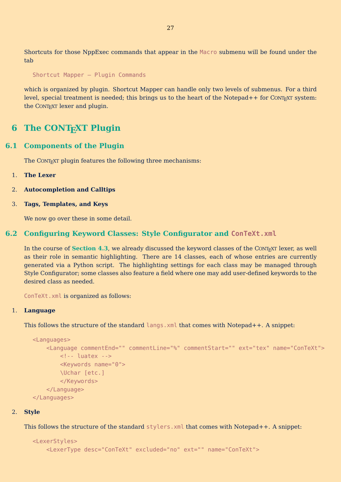<span id="page-27-0"></span>Shortcuts for those NppExec commands that appear in the Macro submenu will be found under the tab

Shortcut Mapper – Plugin Commands

which is organized by plugin. Shortcut Mapper can handle only two levels of submenus. For a third level, special treatment is needed; this brings us to the heart of the Notepad++ for CONTEXT system: the CONTEXT lexer and plugin.

## **6 The CONTEXT Plugin**

#### **6.1 Components of the Plugin**

The CONTEXT plugin features the following three mechanisms:

- 1. **The Lexer**
- 2. **Autocompletion and Calltips**
- 3. **Tags, Templates, and Keys**

We now go over these in some detail.

#### **6.2 Configuring Keyword Classes: Style Configurator and ConTeXt.xml**

In the course of **[Section 4.3](#page-15-0)**, we already discussed the keyword classes of the CONT<sub>EXT</sub> lexer, as well as their role in semantic highlighting. There are 14 classes, each of whose entries are currently generated via a Python script. The highlighting settings for each class may be managed through Style Configurator; some classes also feature a field where one may add user-defined keywords to the desired class as needed.

ConTeXt.xml is organized as follows:

#### 1. **Language**

This follows the structure of the standard langs.  $x$ ml that comes with Notepad++. A snippet:

```
<Languages>
    <Language commentEnd="" commentLine="%" commentStart="" ext="tex" name="ConTeXt">
        <!-- luatex -->
        <Keywords name="0">
        \Uchar [etc.]
        </Keywords>
    </Language>
</Languages>
```
#### 2. **Style**

This follows the structure of the standard stylers.  $x$ ml that comes with Notepad++. A snippet:

```
<LexerStyles>
    <LexerType desc="ConTeXt" excluded="no" ext="" name="ConTeXt">
```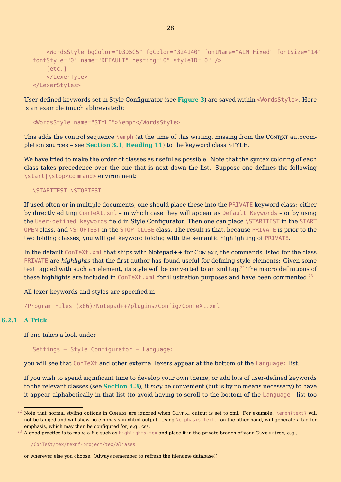```
<WordsStyle bgColor="D3D5C5" fgColor="324140" fontName="ALM Fixed" fontSize="14"
fontStyle="0" name="DEFAULT" nesting="0" styleID="0" />
   [etc.]
    </LexerType>
</LexerStyles>
```
User-defined keywords set in Style Configurator (see **[Figure 3](#page-15-0)**) are saved within <WordsStyle>. Here is an example (much abbreviated):

<WordsStyle name="STYLE">\emph</WordsStyle>

This adds the control sequence  $\emptyset$  (at the time of this writing, missing from the CONTEXT autocompletion sources – see **[Section 3.1](#page-8-0)**, **[Heading 11](#page-11-0)**) to the keyword class STYLE.

We have tried to make the order of classes as useful as possible. Note that the syntax coloring of each class takes precedence over the one that is next down the list. Suppose one defines the following \start|\stop<command> environment:

#### \STARTTEST \STOPTEST

If used often or in multiple documents, one should place these into the PRIVATE keyword class: either by directly editing ConTeXt.xml – in which case they will appear as Default Keywords – or by using the User-defined keywords field in Style Configurator. Then one can place \STARTTEST in the START OPEN class, and \STOPTEST in the STOP CLOSE class. The result is that, because PRIVATE is prior to the two folding classes, you will get keyword folding with the semantic highlighting of PRIVATE.

In the default ConTeXt. xml that ships with Notepad++ for CONTEXT, the commands listed for the class PRIVATE are *highlights* that the first author has found useful for defining style elements: Given some text tagged with such an element, its style will be converted to an xml tag.<sup>22</sup> The macro definitions of these highlights are included in ConTeXt. xml for illustration purposes and have been commented.<sup>23</sup>

All lexer keywords and styles are specified in

/Program Files (x86)/Notepad++/plugins/Config/ConTeXt.xml

#### **6.2.1 A Trick**

If one takes a look under

Settings – Style Configurator – Language:

you will see that ConTeXt and other external lexers appear at the bottom of the Language: list.

If you wish to spend significant time to develop your own theme, or add lots of user-defined keywords to the relevant classes (see **[Section 4.3](#page-15-0)**), it *may* be convenient (but is by no means necessary) to have it appear alphabetically in that list (to avoid having to scroll to the bottom of the Language: list too

<sup>&</sup>lt;sup>22</sup> Note that normal styling options in CONTEXT are ignored when CONTEXT output is set to xml. For example:  $\emptyset$  \emph{text} will not be tagged and will show no emphasis in xhtml output. Using \emphasis{text}, on the other hand, will generate a tag for emphasis, which may then be configured for, e.g., css.

 $^{23}$  A good practice is to make a file such as highlights.tex and place it in the private branch of your CONTEXT tree, e.g.,

<sup>/</sup>ConTeXt/tex/texmf-project/tex/aliases

or wherever else you choose. (Always remember to refresh the filename database!)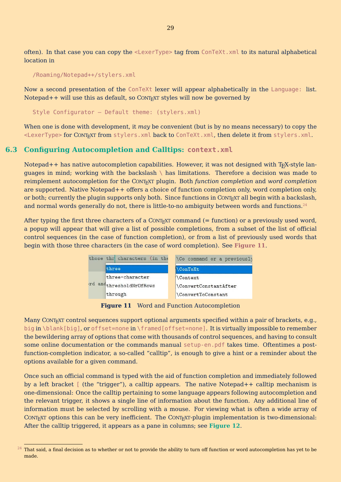<span id="page-29-0"></span>often). In that case you can copy the <LexerType> tag from ConTeXt.xml to its natural alphabetical location in

/Roaming/Notepad++/stylers.xml

Now a second presentation of the ConTeXt lexer will appear alphabetically in the Language: list. Notepad + + will use this as default, so CONTEXT styles will now be governed by

Style Configurator – Default theme: (stylers.xml)

When one is done with development, it *may* be convenient (but is by no means necessary) to copy the <LexerType> for CONTEXT from stylers.xml back to ConTeXt.xml, then delete it from stylers.xml.

#### **6.3 Configuring Autocompletion and Calltips: context.xml**

Notepad +  $+$  has native autocompletion capabilities. However, it was not designed with T<sub>EX</sub>-style languages in mind; working with the backslash \ has limitations. Therefore a decision was made to reimplement autocompletion for the CONTEXT plugin. Both *function completion* and *word completion* are supported. Native Notepad++ offers a choice of function completion only, word completion only, or both; currently the plugin supports only both. Since functions in  $CONF_{EXT}$  all begin with a backslash, and normal words generally do not, there is little-to-no ambiguity between words and functions.<sup>24</sup>

After typing the first three characters of a CONTEXT command  $(=$  function) or a previously used word, a popup will appear that will give a list of possible completions, from a subset of the list of official control sequences (in the case of function completion), or from a list of previously used words that begin with those three characters (in the case of word completion). See **Figure 11**.

| those thr characters (in the | <b>\Co</b> command or a previously |  |  |
|------------------------------|------------------------------------|--|--|
| three                        | <b>\ConTeXt</b>                    |  |  |
| three-character              | Context                            |  |  |
| andthresholdNrOfRows         | <b>ConvertConstantAfter</b>        |  |  |
| through                      | \ConvertToConstant                 |  |  |

**Figure 11** Word and Function Autocompletion

Many CONTEXT control sequences support optional arguments specified within a pair of brackets, e.g., big in \blank[big], or offset=none in \framed[offset=none]. It is virtually impossible to remember the bewildering array of options that come with thousands of control sequences, and having to consult some online documentation or the commands manual setup-en.pdf takes time. Oftentimes a postfunction-completion indicator, a so-called "calltip", is enough to give a hint or a reminder about the options available for a given command.

Once such an official command is typed with the aid of function completion and immediately followed by a left bracket [ (the "trigger"), a calltip appears. The native Notepad++ calltip mechanism is one-dimensional: Once the calltip pertaining to some language appears following autocompletion and the relevant trigger, it shows a single line of information about the function. Any additional line of information must be selected by scrolling with a mouse. For viewing what is often a wide array of CONTEXT options this can be very inefficient. The CONTEXT-plugin implementation is two-dimensional: After the calltip triggered, it appears as a pane in columns; see **[Figure 12](#page-30-0)**.

 $^{24}$  That said, a final decision as to whether or not to provide the ability to turn off function or word autocompletion has yet to be made.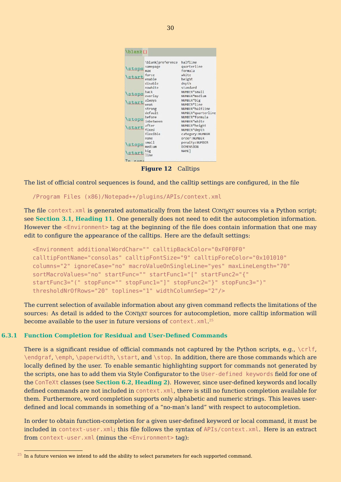<span id="page-30-0"></span>

|       | \blank[preference | halfline                  |
|-------|-------------------|---------------------------|
|       | samepage          | quarterline               |
| stops | max               | formula                   |
|       | force             | white                     |
| start | enable            | height                    |
|       | disable           | depth                     |
|       | nowhite           | standard                  |
|       | back              | NUMBER <sup>*</sup> small |
| stops | overlay           | NUMBER*medium             |
|       | always            | NUMBER*big                |
| start | weak              | NUMBER*line               |
|       | strong            | NUMBER*halfline           |
|       | default           | NUMBER*quarterline        |
|       | before            | NUMBER*formula            |
| stops | inbetween         | NUMBER*white              |
|       | after             | NUMBER*height             |
| start | fixed             | NUMBER*depth              |
|       | flexible          | category: NUMBER          |
|       | none              | order:NUMBER              |
|       | small             | penalty:NUMBER            |
| stops | medium            | <b>DIMENSION</b>          |
|       | big               | NAME ]                    |
| stari | line              |                           |

**Figure 12** Calltips

The list of official control sequences is found, and the calltip settings are configured, in the file

/Program Files (x86)/Notepad++/plugins/APIs/context.xml

The file context. xml is generated automatically from the latest CONTEXT sources via a Python script; see **[Section 3.1](#page-8-0)**, **[Heading 11](#page-11-0)**. One generally does not need to edit the autocompletion information. However the <Environment> tag at the beginning of the file does contain information that one may edit to configure the appearance of the calltips. Here are the default settings:

```
<Environment additionalWordChar="" calltipBackColor="0xF0F0F0"
calltipFontName="consolas" calltipFontSize="9" calltipForeColor="0x101010"
columns="2" ignoreCase="no" macroValueOnSingleLine="yes" maxLineLength="70"
sortMacroValues="no" startFunc="" startFunc1="[" startFunc2="{"
startFunc3="(" stopFunc="" stopFunc1="]" stopFunc2="}" stopFunc3=")"
thresholdNrOfRows="20" toplines="1" widthColumnSep="2"/>
```
The current selection of available information about any given command reflects the limitations of the sources: As detail is added to the CONT<sub>EXT</sub> sources for autocompletion, more calltip information will become available to the user in future versions of <code>context.xml. $^{25}$ </code>

#### **6.3.1 Function Completion for Residual and User-Defined Commands**

There is a significant residue of official commands not captured by the Python scripts, e.g.,  $\c{c}$  lf, \endgraf, \emph, \paperwidth, \start, and \stop. In addition, there are those commands which are locally defined by the user. To enable semantic highlighting support for commands not generated by the scripts, one has to add them via Style Configurator to the User-defined keywords field for one of the ConTeXt classes (see **[Section 6.2](#page-27-0)**, **[Heading 2](#page-27-0)**). However, since user-defined keywords and locally defined commands are not included in context.xml, there is still no function completion available for them. Furthermore, word completion supports only alphabetic and numeric strings. This leaves userdefined and local commands in something of a "no-man's land" with respect to autocompletion.

In order to obtain function-completion for a given user-defined keyword or local command, it must be included in context-user.xml; this file follows the syntax of APIs/context.xml. Here is an extract from context-user.xml (minus the <Environment> tag):

 $^{25}$  In a future version we intend to add the ability to select parameters for each supported command.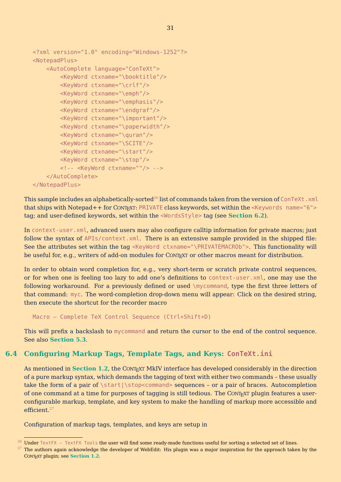```
<?xml version="1.0" encoding="Windows-1252"?>
<NotepadPlus>
    <AutoComplete language="ConTeXt">
        <KeyWord ctxname="\booktitle"/>
        <KeyWord ctxname="\crlf"/>
        <KeyWord ctxname="\emph"/>
        <KeyWord ctxname="\emphasis"/>
        <KeyWord ctxname="\endgraf"/>
        <KeyWord ctxname="\important"/>
        <KeyWord ctxname="\paperwidth"/>
        <KeyWord ctxname="\quran"/>
        <KeyWord ctxname="\SCITE"/>
        <KeyWord ctxname="\start"/>
        <KeyWord ctxname="\stop"/>
        <!-- <KeyWord ctxname=""/> -->
    </AutoComplete>
</NotepadPlus>
```
This sample includes an alphabetically-sorted<sup>26</sup> list of commands taken from the version of ConTeXt.  $x$ ml that ships with Notepad++ for CONT<sub>EXT</sub>: PRIVATE class keywords, set within the <Keywords name="6"> tag; and user-defined keywords, set within the <WordsStyle> tag (see **[Section 6.2](#page-27-0)**).

In context-user.xml, advanced users may also configure calltip information for private macros; just follow the syntax of APIs/context.xml. There is an extensive sample provided in the shipped file: See the attributes set within the tag <KeyWord ctxname="\PRIVATEMACROb">. This functionality will be useful for, e.g., writers of add-on modules for CONTEXT or other macros meant for distribution.

In order to obtain word completion for, e.g., very short-term or scratch private control sequences, or for when one is feeling too lazy to add one's definitions to context-user.xml, one may use the following workaround. For a previously defined or used \mycommand, type the first three letters of that command: myc. The word-completion drop-down menu will appear: Click on the desired string, then execute the shortcut for the recorder macro

Macro – Complete TeX Control Sequence (Ctrl+Shift+D)

This will prefix a backslash to mycommand and return the cursor to the end of the control sequence. See also **[Section 5.3](#page-25-0)**.

## **6.4 Configuring Markup Tags, Template Tags, and Keys: ConTeXt.ini**

As mentioned in **[Section 1.2](#page-3-0)**, the CONTEXT MkIV interface has developed considerably in the direction of a pure markup syntax, which demands the tagging of text with either two commands – these usually take the form of a pair of  $\start|\sigma$ of one command at a time for purposes of tagging is still tedious. The CONTEXT plugin features a userconfigurable markup, template, and key system to make the handling of markup more accessible and efficient.<sup>27</sup>

Configuration of markup tags, templates, and keys are setup in

 $^{26}$  Under TextFX – TextFX Tools the user will find some ready-made functions useful for sorting a selected set of lines.

 $27$  The authors again acknowledge the developer of WebEdit: His plugin was a major inspiration for the approach taken by the CONTEXT plugin; see **[Section 1.2](#page-3-0)**.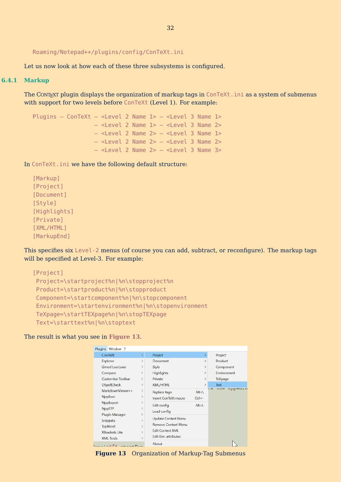```
Roaming/Notepad++/plugins/config/ConTeXt.ini
```
Let us now look at how each of these three subsystems is configured.

#### **6.4.1 Markup**

The CONT<sub>EXT</sub> plugin displays the organization of markup tags in ConTeXt. ini as a system of submenus with support for two levels before ConTeXt (Level 1). For example:

```
Plugins – ConTeXt – <Level 2 Name 1> – <Level 3 Name 1>
                 - <Level 2 Name 1> - <Level 3 Name 2>- <Level 2 Name 2> - <Level 3 Name 1>
                  – <Level 2 Name 2> – <Level 3 Name 2>
                 – <Level 2 Name 2> – <Level 3 Name 3>
```
In ConTeXt.ini we have the following default structure:

[Markup] [Project] [Document] [Style] [Highlights] [Private] [XML/HTML] [MarkupEnd]

This specifies six Level-2 menus (of course you can add, subtract, or reconfigure). The markup tags will be specified at Level-3. For example:

```
[Project]
Project=\startproject%n|%n\stopproject%n
Product=\startproduct%n|%n\stopproduct
Component=\startcomponent%n|%n\stopcomponent
Environment=\startenvironment%n|%n\stopenvironment
TeXpage=\startTEXpage%n|%n\stopTEXpage
Text=\starttext%n|%n\stoptext
```
The result is what you see in **Figure 13**.

| ConTeXt                                     | y.             | Project                    |               | Project                         |
|---------------------------------------------|----------------|----------------------------|---------------|---------------------------------|
| Explorer                                    | $\mathcal{P}$  | Document                   | $\rightarrow$ | Product                         |
| Gmod Lua Lexer                              | $\lambda$      | Style                      | $\mathcal{P}$ | Component                       |
| Compare                                     | y.             | <b>Highlights</b>          | ž             | Environment                     |
| Customize Toolbar                           | $\mathcal{P}$  | Private                    | $\geq$        | TeXpage                         |
| <b>DSpellCheck</b>                          | ×              | <b>XML/HTML</b>            | У             | Text                            |
| MarkdownViewer++                            | y              | Replace tags               | $Alt+1$       | <b>UIIC</b><br>appeara<br>$L =$ |
| NppExec                                     | $\geq$         | Insert ConTeXt macro       | $Ctrl + -$    |                                 |
| NppExport                                   | ö.             | Edit config                | $Alt+L$       |                                 |
| NppFTP                                      | X              | Load config                |               |                                 |
| Plugin Manager                              | X              |                            |               |                                 |
| <b>Snippets</b>                             | $\mathcal{P}$  | Update Context Menu        |               |                                 |
| <b>TopMost</b>                              | $\overline{ }$ | <b>Remove Context Menu</b> |               |                                 |
| <b>XBrackets Lite</b>                       | $\mathcal{P}$  | <b>Edit Context XML</b>    |               |                                 |
| <b>XML Tools</b>                            | $\lambda$      | Edit Env. attributes       |               |                                 |
| Considerable and Fair in the second control |                | About                      |               |                                 |

**Figure 13** Organization of Markup-Tag Submenus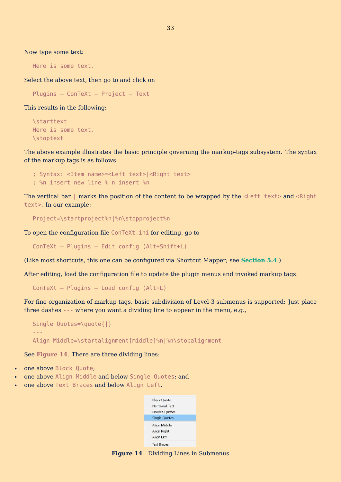Now type some text:

Here is some text.

Select the above text, then go to and click on

Plugins – ConTeXt – Project – Text

This results in the following:

```
\starttext
Here is some text.
\stoptext
```
The above example illustrates the basic principle governing the markup-tags subsystem. The syntax of the markup tags is as follows:

```
; Syntax: <Item name>=<Left text>|<Right text>
; %n insert new line % n insert %n
```
The vertical bar  $\mid$  marks the position of the content to be wrapped by the <Left text> and <Right text>. In our example:

```
Project=\startproject%n|%n\stopproject%n
```
To open the configuration file ConTeXt.ini for editing, go to

ConTeXt – Plugins – Edit config (Alt+Shift+L)

(Like most shortcuts, this one can be configured via Shortcut Mapper; see **[Section 5.4](#page-26-0)**.)

After editing, load the configuration file to update the plugin menus and invoked markup tags:

```
ConTeXt – Plugins – Load config (Alt+L)
```
For fine organization of markup tags, basic subdivision of Level-3 submenus is supported: Just place three dashes --- where you want a dividing line to appear in the menu, e.g.,

```
Single Quotes=\quote{|}
---
Align Middle=\startalignment[middle]%n|%n\stopalignment
```
See **Figure 14**. There are three dividing lines:

- one above Block Quote;
- one above Align Middle and below Single Quotes; and
- one above Text Braces and below Align Left.



**Figure 14** Dividing Lines in Submenus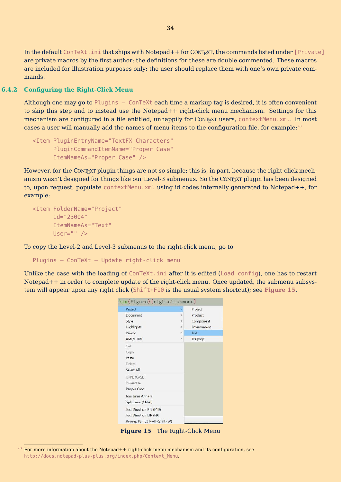<span id="page-34-0"></span>In the default ConTeXt.ini that ships with Notepad++ for CONT<sub>EXT</sub>, the commands listed under [Private] are private macros by the first author; the definitions for these are double commented. These macros are included for illustration purposes only; the user should replace them with one's own private commands.

#### **6.4.2 Configuring the Right-Click Menu**

Although one may go to Plugins – ConTeXt each time a markup tag is desired, it is often convenient to skip this step and to instead use the Notepad++ right-click menu mechanism. Settings for this mechanism are configured in a file entitled, unhappily for CONT<sub>EXT</sub> users, contextMenu.xml. In most cases a user will manually add the names of menu items to the configuration file, for example:<sup>28</sup>

```
<Item PluginEntryName="TextFX Characters"
      PluginCommandItemName="Proper Case"
      ItemNameAs="Proper Case" />
```
However, for the CONTEXT plugin things are not so simple; this is, in part, because the right-click mechanism wasn't designed for things like our Level-3 submenus. So the CONTEXT plugin has been designed to, upon request, populate contextMenu. xml using id codes internally generated to Notepad++, for example:

```
<Item FolderName="Project"
      id="23004"
      ItemNameAs="Text"
      User="" />
```
To copy the Level-2 and Level-3 submenus to the right-click menu, go to

Plugins – ConTeXt – Update right-click menu

Unlike the case with the loading of ConTeXt.ini after it is edited (Load config), one has to restart Notepad++ in order to complete update of the right-click menu. Once updated, the submenu subsystem will appear upon any right click (Shift+F10 is the usual system shortcut); see **Figure 15**.

| Project                       | ×             | Project     |
|-------------------------------|---------------|-------------|
| Document                      | $\mathcal{P}$ | Product     |
| Style                         | s             | Component   |
| Highlights                    | $\rightarrow$ | Environment |
| Private                       | $\geq$        | Text        |
| XML/HTML                      | $\rightarrow$ | TeXpage     |
| Cut                           |               |             |
| Copy                          |               |             |
| Paste                         |               |             |
| Delete                        |               |             |
| Select All                    |               |             |
| <b>UPPERCASE</b>              |               |             |
| lowercase                     |               |             |
| Proper Case                   |               |             |
| Join Lines (Ctrl+J)           |               |             |
| Split Lines (Ctrl+I)          |               |             |
| Text Direction RTL (F10)      |               |             |
| Text Direction LTR (F9)       |               |             |
| Rewrap Par (Ctrl+Alt+Shift+W) |               |             |

**Figure 15** The Right-Click Menu

 $^{28}$  For more information about the Notepad++ right-click menu mechanism and its configuration, see http://docs.notepad-plus-plus.org/index.php/Context\_Menu.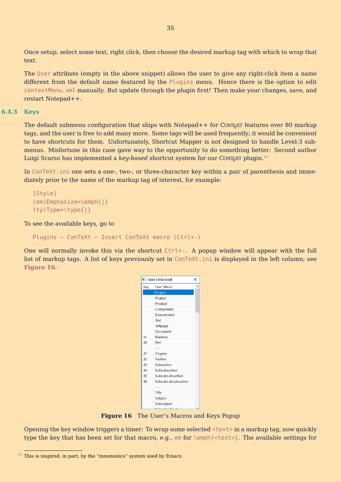<span id="page-35-0"></span>Once setup, select some text, right click, then choose the desired markup tag with which to wrap that text.

The User attribute (empty in the above snippet) allows the user to give any right-click item a name different from the default name featured by the Plugins menu. Hence there is the option to edit contextMenu.xml manually. But update through the plugin first! Then make your changes, save, and restart Notepad++.

#### **6.4.3 Keys**

The default submenu configuration that ships with Notepad++ for CONTEXT features over 80 markup tags, and the user is free to add many more. Some tags will be used frequently; it would be convenient to have shortcuts for them. Unfortunately, Shortcut Mapper is not designed to handle Level-3 submenus. Misfortune in this case gave way to the opportunity to do something better: Second author Luigi Scarso has implemented a *key-based* shortcut system for our CONT<sub>EXT</sub> plugin.<sup>29</sup>

In ConTeXt.ini one sets a one-, two-, or three-character key within a pair of parenthesis and immediately prior to the name of the markup tag of interest, for example:

```
[Style]
(em)Emphasize=\emph{|}
(ty)Type=\type{|}
```
To see the available keys, go to

```
Plugins – ConTeXt – Insert ConTeXt macro (Ctrl+-)
```
One will normally invoke this via the shortcut  $Ctrl +=$ . A popup window will appear with the full list of markup tags. A list of keys previously set in ConTeXt.ini is displayed in the left column; see **Figure 16**.

|     | User's Macrosin     | × |
|-----|---------------------|---|
| Key | User Macro          |   |
|     | Project             |   |
|     | Project             |   |
|     | Product             |   |
|     | Component           |   |
|     | Environment         |   |
|     | Text                |   |
|     | TeXpage             |   |
|     | Document            |   |
| m   | Makeup              |   |
| d0  | Part                |   |
|     | <b>All for the</b>  |   |
| d1  | Chapter             |   |
| d2  | Section             |   |
| d3  | Subsection          |   |
| d4  | Subsubsection       |   |
| d5  | Subsubsubsection    |   |
| d6  | Subsubsubsubsection |   |
|     | ---                 |   |
|     | Title               |   |
|     | Subject             |   |
|     | Subsubject          |   |
|     | Colombachter        |   |

**Figure 16** The User's Macros and Keys Popup

Opening the key window triggers a timer: To wrap some selected <text> in a markup tag, now quickly type the key that has been set for that macro, e.g., em for \emph{<text>}. The available settings for

 $29$  This is inspired, in part, by the "mnemonics" system used by Emacs.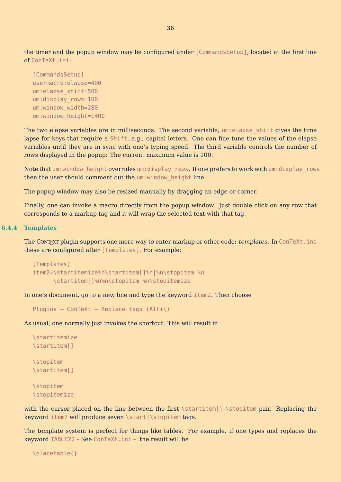<span id="page-36-0"></span>the timer and the popup window may be configured under [CommandsSetup], located at the first line of ConTeXt.ini:

```
[CommandsSetup]
usermacro:elapse=400
um:elapse_shift=500
um:display_rows=100
um:window_width=280
um:window_height=1400
```
The two elapse variables are in milliseconds. The second variable, um: elapse shift gives the time lapse for keys that require a Shift, e.g., capital letters. One can fine tune the values of the elapse variables until they are in sync with one's typing speed. The third variable controls the number of rows displayed in the popup: The current maximum value is 100.

Note that um:window height overrides um:display rows. If one prefers to work with um:display rows then the user should comment out the um: window height line.

The popup window may also be resized manually by dragging an edge or corner.

Finally, one can invoke a macro directly from the popup window: Just double click on any row that corresponds to a markup tag and it will wrap the selected text with that tag.

#### **6.4.4 Templates**

The CONTEXT plugin supports one more way to enter markup or other code: *templates*. In ConTeXt.ini these are configured after [Templates]. For example:

```
[Templates]
item2=\startitemize%n\startitem[]%n|%n\stopitem %n
      \startitem[]%n%n\stopitem %n\stopitemize
```
In one's document, go to a new line and type the keyword item2. Then choose

Plugins – ConTeXt – Replace tags  $(Alt+\)$ 

As usual, one normally just invokes the shortcut. This will result in

```
\startitemize
\startitem[]
\stopitem
\startitem[]
\stopitem
\stopitemize
```
with the cursor placed on the line between the first \startitem[]-\stopitem pair. Replacing the keyword item7 will produce seven \start|\stopitem tags.

The template system is perfect for things like tables. For example, if one types and replaces the keyword TABLE22 – See ConTeXt.ini – the result will be

\placetable{}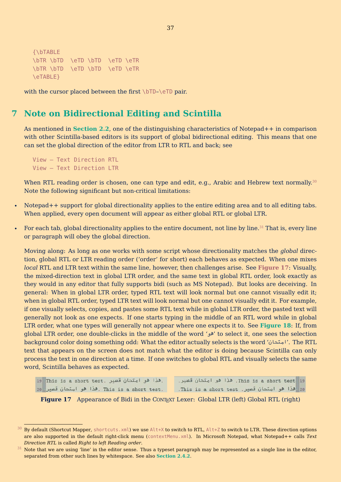```
{\bTABLE
\bTR \bTD \eTD \bTD \eTD \eTR
\bTR \bTD \eTD \bTD \eTD \eTR
\eTABLE}
```
with the cursor placed between the first \bTD-\eTD pair.

## **7 Note on Bidirectional Editing and Scintilla**

As mentioned in **[Section 2.2](#page-5-0)**, one of the distinguishing characteristics of Notepad++ in comparison with other Scintilla-based editors is its support of global bidirectional editing. This means that one can set the global direction of the editor from LTR to RTL and back; see

```
View – Text Direction RTL
View – Text Direction LTR
```
When RTL reading order is chosen, one can type and edit, e.g., Arabic and Hebrew text normally.<sup>30</sup> Note the following significant but non-critical limitations:

- Notepad++ support for global directionality applies to the entire editing area and to all editing tabs. When applied, every open document will appear as either global RTL or global LTR.
- For each tab, global directionality applies to the entire document, not line by line.<sup>31</sup> That is, every line or paragraph will obey the global direction.

Moving along: As long as one works with some script whose directionality matches the *global* direction, global RTL or LTR reading order ('order' for short) each behaves as expected. When one mixes *local* RTL and LTR text within the same line, however, then challenges arise. See **Figure 17**: Visually, the mixed-direction text in global LTR order, and the same text in global RTL order, look exactly as they would in any editor that fully supports bidi (such as MS Notepad). But looks are deceiving. In general: When in global LTR order, typed RTL text will look normal but one cannot visually edit it; when in global RTL order, typed LTR text will look normal but one cannot visually edit it. For example, if one visually selects, copies, and pastes some RTL text while in global LTR order, the pasted text will generally not look as one expects. If one starts typing in the middle of an RTL word while in global LTR order, what one types will generally not appear where one expects it to. See **[Figure 18](#page-38-0)**: If, from global LTR order, one double-clicks in the middle of the word ' وه ' to select it, one sees the selection background color doing something odd: What the editor actually selects is the word ' ناحتما '. The RTL text that appears on the screen does not match what the editor is doing because Scintilla can only process the text in one direction at a time. If one switches to global RTL and visually selects the same word, Scintilla behaves as expected.

```
19 This is a short test. مِنا هو امتحان قصير
                                               This is a short test 19. هذا هو امتحان قصير.
20 هذا هو امتحان قصير . This is a short test. . .This is a short test. هذا هو امتحان قصير 20
```
**Figure 17** Appearance of Bidi in the CONTEXT Lexer: Global LTR (left) Global RTL (right)

<sup>30</sup> By default (Shortcut Mapper, shortcuts.xml) we use Alt+X to switch to RTL, Alt+Z to switch to LTR. These direction options are also supported in the default right-click menu (contextMenu.xml). In Microsoft Notepad, what Notepad++ calls *Text Direction RTL* is called *Right to left Reading order*.

 $31$  Note that we are using 'line' in the editor sense. Thus a typeset paragraph may be represented as a single line in the editor, separated from other such lines by whitespace. See also **[Section 2.4.2](#page-7-0)**.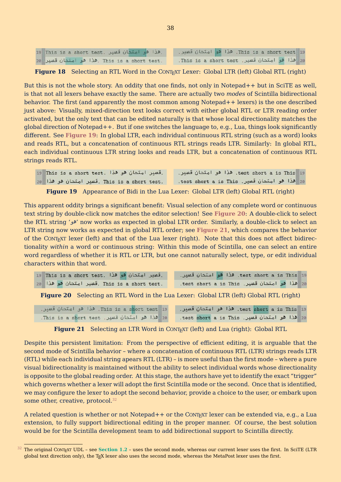<span id="page-38-0"></span>

| 19 This is a short test. هذا هو امتحان قصير. | 19 This is a short test. هذا هو امتحان قصير. |  |
|----------------------------------------------|----------------------------------------------|--|
| 20 .This is a short test. هذا هو امتحان قصير | 20 هذا هو امتحان قصير. This is a short test. |  |

**Figure 18** Selecting an RTL Word in the CONT<sub>EXT</sub> Lexer: Global LTR (left) Global RTL (right)

But this is not the whole story. An oddity that one finds, not only in Notepad++ but in SciTE as well, is that not all lexers behave exactly the same. There are actually two *modes* of Scintilla bidirectional behavior. The first (and apparently the most common among Notepad++ lexers) is the one described just above: Visually, mixed-direction text looks correct with either global RTL or LTR reading order activated, but the only text that can be edited naturally is that whose local directionality matches the global direction of Notepad++. But if one switches the language to, e.g., Lua, things look significantly different. See **Figure 19**: In global LTR, each individual continuous RTL string (such as a word) looks and reads RTL, but a concatenation of continuous RTL strings reads LTR. Similarly: In global RTL, each individual continuous LTR string looks and reads LTR, but a concatenation of continuous RTL strings reads RTL.

| .قصير امتحان هو هذا .This is a short test | test short a is This 19. هذا هو امتحان قصير. |
|-------------------------------------------|----------------------------------------------|
| 20 lis a short test. قصير امتحان هو هذا   | 20 هذا هو امتحان قصير. test short a is This. |

**Figure 19** Appearance of Bidi in the Lua Lexer: Global LTR (left) Global RTL (right)

This apparent oddity brings a significant benefit: Visual selection of any complete word or continuous text string by double-click now matches the editor selection! See **Figure 20**: A double-click to select the RTL string ' وه ' now works as expected in global LTR order. Similarly, a double-click to select an LTR string now works as expected in global RTL order; see **Figure 21**, which compares the behavior of the CONTEXT lexer (left) and that of the Lua lexer (right). Note that this does not affect bidirectionality *within* a word or continuous string: Within this mode of Scintilla, one can select an entire word regardless of whether it is RTL or LTR, but one cannot naturally select, type, or edit individual characters within that word.

| قصیر امتحان هو هذا .This is a short test   | test short a is This 19. هذا هو امتحان قصير. |
|--------------------------------------------|----------------------------------------------|
| 20 lis a short test. قصير امتحان هو هذا 20 | 20 هذا هو امتحان قصير. test short a is This. |

**Figure 20** Selecting an RTL Word in the Lua Lexer: Global LTR (left) Global RTL (right)

This is a short test 19. هذا هو امتحان قصير. test short a is This 19. هذا هو امتحان قصير. 20 هذا هو امتحان قصير. This is a short test. 20 هذا هو امتحان قصير. test short a is This.

**Figure 21** Selecting an LTR Word in CONTEXT (left) and Lua (right): Global RTL

Despite this persistent limitation: From the perspective of efficient editing, it is arguable that the second mode of Scintilla behavior – where a concatenation of continuous RTL (LTR) strings reads LTR (RTL) while each individual string apears RTL (LTR) – is more useful than the first mode – where a pure visual bidirectionality is maintained without the ability to select individual words whose directionality is opposite to the global reading order. At this stage, the authors have yet to identify the exact "trigger" which governs whether a lexer will adopt the first Scintilla mode or the second. Once that is identified, we may configure the lexer to adopt the second behavior, provide a choice to the user, or embark upon some other, creative, protocol.<sup>32</sup>

A related question is whether or not Notepad++ or the CONT<sub>EXT</sub> lexer can be extended via, e.g., a Lua extension, to fully support bidirectional editing in the proper manner. Of course, the best solution would be for the Scintilla development team to add bidirectional support to Scintilla directly.

 $32$  The original CONT<sub>EXT</sub> UDL – see [Section 1.2](#page-3-0) – uses the second mode, whereas our current lexer uses the first. In SciTE (LTR global text direction only), the TFX lexer also uses the second mode, whereas the MetaPost lexer uses the first.